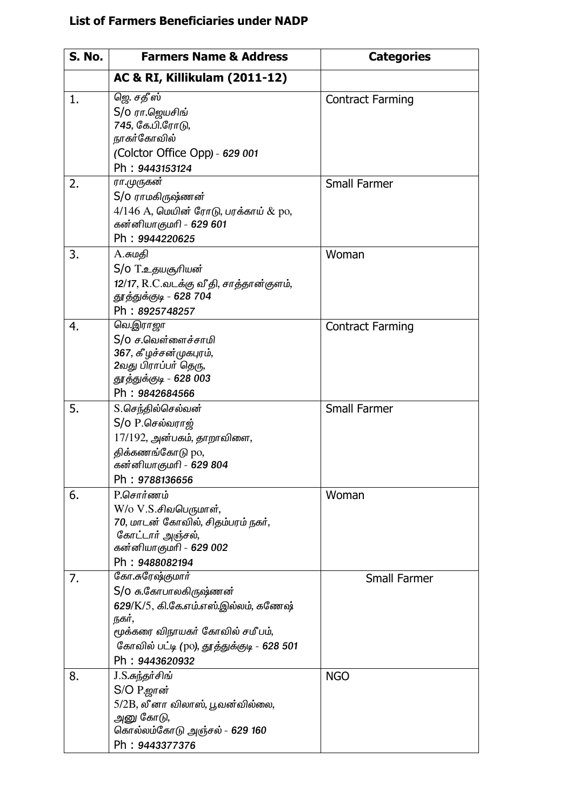## List of Farmers Beneficiaries under NADP

| <b>S. No.</b> | <b>Farmers Name &amp; Address</b>                                                                                                                                                           | <b>Categories</b>       |
|---------------|---------------------------------------------------------------------------------------------------------------------------------------------------------------------------------------------|-------------------------|
|               | AC & RI, Killikulam (2011-12)                                                                                                                                                               |                         |
| 1.            | ஜெ. சதீஸ்<br>S/o ரா.ஜெயசிங்<br>745, கே.பி.ரோடு,<br>நாகர்கோவில்<br>(Colctor Office Opp) - 629 001<br>Ph: 9443153124                                                                          | <b>Contract Farming</b> |
| 2.            | ரா.முருகன்<br>S/o ராமகிருஷ்ணன்<br>$4/146$ A, மெயின் ரோடு, பரக்காய் $\&$ po,<br>கன்னியாகுமரி - 629 601<br>Ph: 9944220625                                                                     | <b>Small Farmer</b>     |
| 3.            | A.சுமதி<br>S/o T.உதயசூரியன்<br>12/17, R.C.வடக்கு வீதி, சாத்தான்குளம்,<br>தூத்துக்குடி - 628 704<br>Ph: 8925748257                                                                           | Woman                   |
| 4.            | வெ.இராஜா<br>S/o ச.வெள்ளைச்சாமி<br>367, கீழச்சன்முகபுரம்,<br>2வது பிராப்பர் தெரு,<br>தூத்துக்குடி - 628 003<br>Ph: 9842684566                                                                | <b>Contract Farming</b> |
| 5.            | S.செந்தில்செல்வன்<br>$S/O$ P.செல்வராஜ்<br>17/192, அன்பகம், தாறாவிளை,<br>திக்கணங்கோடு po,<br>கன்னியாகுமரி - 629 804<br>Ph: 9788136656                                                        | <b>Small Farmer</b>     |
| 6.            | P.சொர்ணம்<br>W/o V.S.சிவபெருமாள்,<br>70, மாடன் கோவில், சிதம்பரம் நகர்,<br>கோட்டார் அஞ்சல்,<br>கன்னியாகுமரி - 629 002<br>Ph: 9488082194                                                      | Woman                   |
| 7.            | கோ.சுரேஷ்குமார்<br>S/O சு.கோபாலகிருஷ்ணன்<br>629/K/5, கி.கே.எம்.எஸ்.இல்லம், கணேஷ்<br>நகர்,<br>மூக்கரை விநாயகர் கோவில் சமீபம்,<br>கோவில் பட்டி (po), தூத்துக்குடி - 628 501<br>Ph: 9443620932 | <b>Small Farmer</b>     |
| 8.            | J.S.சுந்தர்சிங்<br>S/O P.ஜான்<br>5/2B, லீனா விலாஸ், பூவன்வில்லை,<br>அனு கோடு,<br>கொல்லம்கோடு அஞ்சல் - 629 160<br>Ph: 9443377376                                                             | <b>NGO</b>              |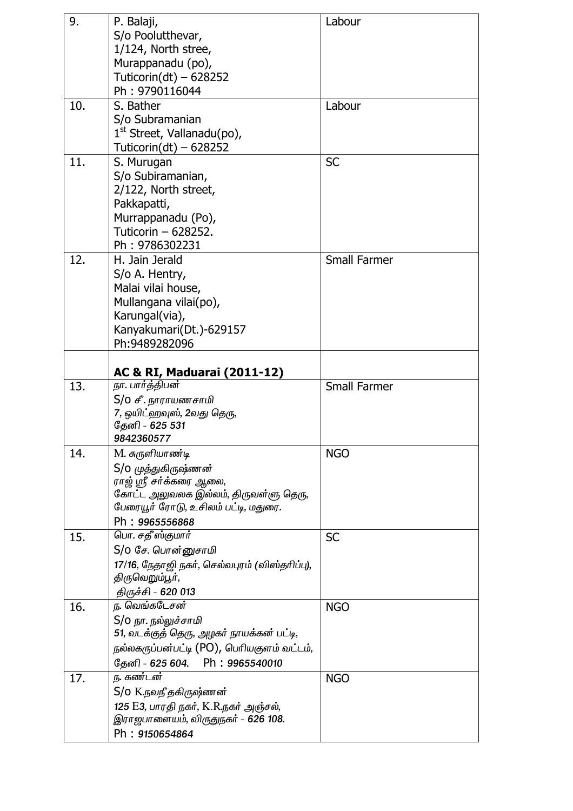| 9.  | P. Balaji,<br>S/o Poolutthevar,<br>1/124, North stree,<br>Murappanadu (po),<br>Tuticorin(dt) $-628252$<br>Ph: 9790116044                                           | Labour              |
|-----|--------------------------------------------------------------------------------------------------------------------------------------------------------------------|---------------------|
| 10. | S. Bather<br>S/o Subramanian<br>$1st$ Street, Vallanadu(po),<br>Tuticorin(dt) $-628252$                                                                            | Labour              |
| 11. | S. Murugan<br>S/o Subiramanian,<br>2/122, North street,<br>Pakkapatti,<br>Murrappanadu (Po),<br>Tuticorin - 628252.<br>Ph: 9786302231                              | <b>SC</b>           |
| 12. | H. Jain Jerald<br>S/o A. Hentry,<br>Malai vilai house,<br>Mullangana vilai(po),<br>Karungal(via),<br>Kanyakumari(Dt.)-629157<br>Ph: 9489282096                     | <b>Small Farmer</b> |
|     | AC & RI, Maduarai (2011-12)                                                                                                                                        |                     |
| 13. | நா. பார்த்திபன்<br>S/o சீ. நாராயணசாமி<br>7, ஒயிட்ஹவுஸ், 2வது தெரு,<br>தேனி - 625 531<br>9842360577                                                                 | <b>Small Farmer</b> |
| 14. | M. சுருளியாண்டி<br>S/o முத்துகிருஷ்ணன்<br>ராஜ் ஸ்ரீ சர்க்கரை ஆலை,<br>கோட்ட அலுவலக இல்லம், திருவள்ளு தெரு,<br>பேரையூர் ரோடு, உசிலம் பட்டி, மதுரை.<br>Ph: 9965556868 | <b>NGO</b>          |
| 15. | பொ. சதீஸ்குமார்<br>S/o சே. பொன்னுசாமி<br>17/16, நேதாஜி நகர், செல்வபுரம் (விஸ்தரிப்பு),<br>திருவெறும்பூர்,<br>திருச்சி - 620 013                                    | <b>SC</b>           |
| 16. | ந. வெங்கடேசன்<br>S/o நா. நல்லுச்சாமி<br>51, வடக்குத் தெரு, அழகர் நாயக்கன் பட்டி,<br>நல்லகருப்பன்பட்டி (PO), பெரியகுளம் வட்டம்,<br>தேனி - 625 604.<br>Ph:9965540010 | <b>NGO</b>          |
| 17. | ந. கண்டன்<br>S/o K.நவநீ தகிருஷ்ணன்<br>125 E3, பாரதி நகர், K.R.நகர் அஞ்சல்,<br>இராஜபாளையம், விருதுநகர் - 626 108.<br>Ph: 9150654864                                 | <b>NGO</b>          |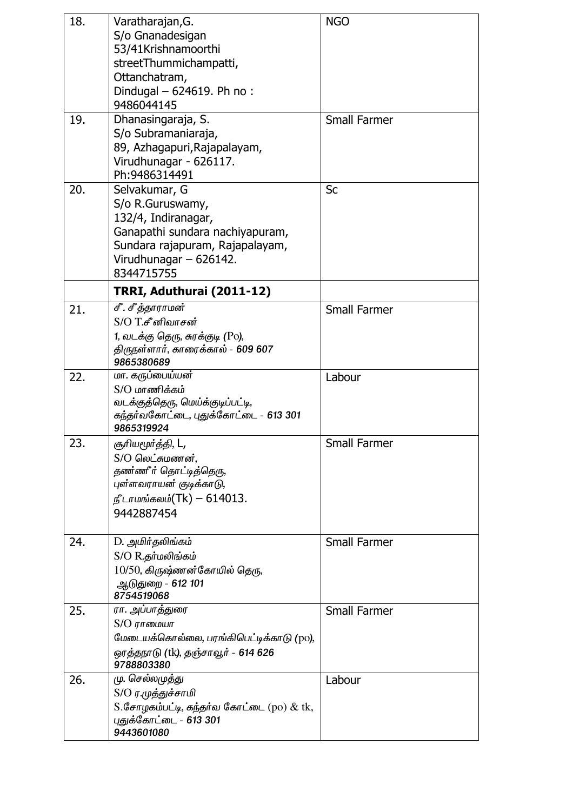| 18. | Varatharajan, G.<br>S/o Gnanadesigan<br>53/41Krishnamoorthi<br>streetThummichampatti,<br>Ottanchatram,<br>Dindugal - 624619. Ph no:<br>9486044145                            | <b>NGO</b>          |
|-----|------------------------------------------------------------------------------------------------------------------------------------------------------------------------------|---------------------|
| 19. | Dhanasingaraja, S.<br>S/o Subramaniaraja,<br>89, Azhagapuri, Rajapalayam,<br>Virudhunagar - 626117.<br>Ph: 9486314491                                                        | <b>Small Farmer</b> |
| 20. | Selvakumar, G<br>S/o R.Guruswamy,<br>132/4, Indiranagar,<br>Ganapathi sundara nachiyapuram,<br>Sundara rajapuram, Rajapalayam,<br>Virudhunagar $-626142$ .<br>8344715755     | <b>Sc</b>           |
|     | TRRI, Aduthurai (2011-12)                                                                                                                                                    |                     |
| 21. | சீ. சீத்தாராமன்<br>$S/O$ $T$ .சீ னிவாசன்<br>1, வடக்கு தெரு, சுரக்குடி (Po),                                                                                                  | <b>Small Farmer</b> |
|     | திருநள்ளார், காரைக்கால் - 609 607<br>9865380689                                                                                                                              |                     |
| 22. | மா. கருப்பைய்யன்<br>$S/O$ மாணிக்கம்<br>வடக்குத்தெரு, மெய்க்குடிப்பட்டி,<br>கந்தர்வகோட்டை, புதுக்கோட்டை - 613 301<br>9865319924                                               | Labour              |
| 23. | சூரியமூர்த்தி, L <b>,</b><br>$S/O$ லெட்சுமணன்,<br>தண்ணீர் தொட்டித்தெரு,<br>புள்ளவராயன் குடிக்காடு,<br>நீடாமங்கலம்(Tk) — 614013.<br>9442887454                                | <b>Small Farmer</b> |
| 24. | D. அமிர்தலிங்கம்<br>S/O R.தர்மலிங்கம்<br>$10/50$ , கிருஷ்ணன்கோயில் தெரு,<br>ஆடுதுறை - 612 101<br>8754519068                                                                  | <b>Small Farmer</b> |
| 25. | ரா. அப்பாத்துரை<br>$S/O$ $\sigma$ $\sigma$ $\sigma$ $\sigma$ $\sigma$<br>மேடையக்கொல்லை, பரங்கிபெட்டிக்காடு (po),<br>ஒரத்தநாடு (tk), தஞ்சாவூர் - <b>614 626</b><br>9788803380 | <b>Small Farmer</b> |
| 26. | மு. செல்லமுத்து<br>S/O ர.முத்துச்சாமி<br>$S$ .சோழகம்பட்டி, கந்தர்வ கோட்டை (po) $\&$ tk,<br>புதுக்கோட்டை - 613 301<br>9443601080                                              | Labour              |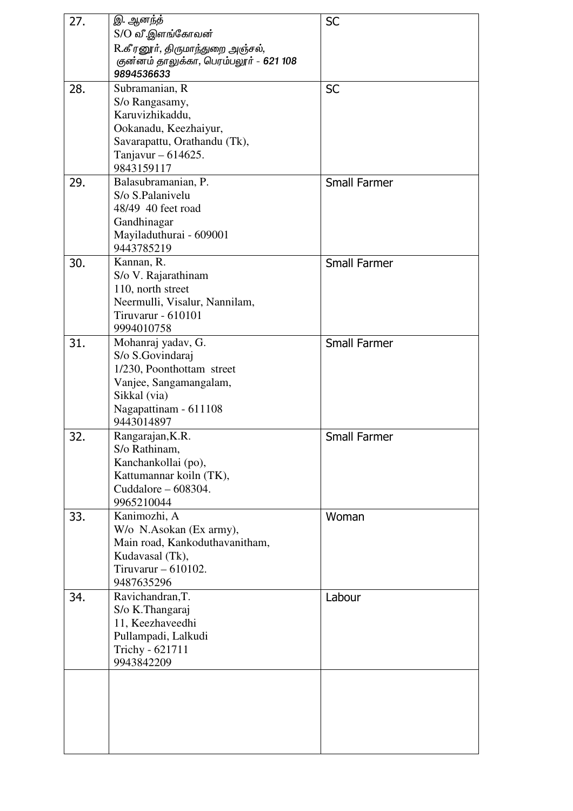| 27. | இ. ஆனந்த                                                  | <b>SC</b>           |
|-----|-----------------------------------------------------------|---------------------|
|     | S/O வீ.இளங்கோவன்                                          |                     |
|     | R.கீரனூர், திருமாந்துறை அஞ்சல்,                           |                     |
|     | குன்னம் தாலுக்கா, பெரம்பலூர் - 621 108                    |                     |
|     | 9894536633                                                |                     |
| 28. | Subramanian, R                                            | <b>SC</b>           |
|     | S/o Rangasamy,                                            |                     |
|     | Karuvizhikaddu,                                           |                     |
|     | Ookanadu, Keezhaiyur,                                     |                     |
|     | Savarapattu, Orathandu (Tk),                              |                     |
|     | Tanjavur – 614625.                                        |                     |
|     | 9843159117                                                |                     |
| 29. | Balasubramanian, P.                                       | <b>Small Farmer</b> |
|     | S/o S.Palanivelu                                          |                     |
|     | 48/49 40 feet road                                        |                     |
|     | Gandhinagar                                               |                     |
|     | Mayiladuthurai - 609001                                   |                     |
|     | 9443785219                                                |                     |
| 30. | Kannan, R.                                                | <b>Small Farmer</b> |
|     | S/o V. Rajarathinam                                       |                     |
|     | 110, north street                                         |                     |
|     | Neermulli, Visalur, Nannilam,                             |                     |
|     | Tiruvarur - 610101                                        |                     |
|     | 9994010758                                                |                     |
| 31. | Mohanraj yadav, G.                                        | <b>Small Farmer</b> |
|     | S/o S.Govindaraj                                          |                     |
|     | 1/230, Poonthottam street                                 |                     |
|     | Vanjee, Sangamangalam,                                    |                     |
|     | Sikkal (via)                                              |                     |
|     | Nagapattinam - 611108                                     |                     |
|     | 9443014897                                                |                     |
| 32. | Rangarajan, K.R.                                          | <b>Small Farmer</b> |
|     | S/o Rathinam,                                             |                     |
|     | Kanchankollai (po),                                       |                     |
|     | Kattumannar koiln (TK),                                   |                     |
|     | Cuddalore – 608304.                                       |                     |
|     | 9965210044                                                |                     |
| 33. | Kanimozhi, A                                              | Woman               |
|     | W/o N.Asokan (Ex army),<br>Main road, Kankoduthavanitham, |                     |
|     | Kudavasal (Tk),                                           |                     |
|     | Tiruvarur $-610102$ .                                     |                     |
|     | 9487635296                                                |                     |
| 34. | Ravichandran, T.                                          | Labour              |
|     | S/o K.Thangaraj                                           |                     |
|     | 11, Keezhaveedhi                                          |                     |
|     | Pullampadi, Lalkudi                                       |                     |
|     | Trichy - 621711                                           |                     |
|     | 9943842209                                                |                     |
|     |                                                           |                     |
|     |                                                           |                     |
|     |                                                           |                     |
|     |                                                           |                     |
|     |                                                           |                     |
|     |                                                           |                     |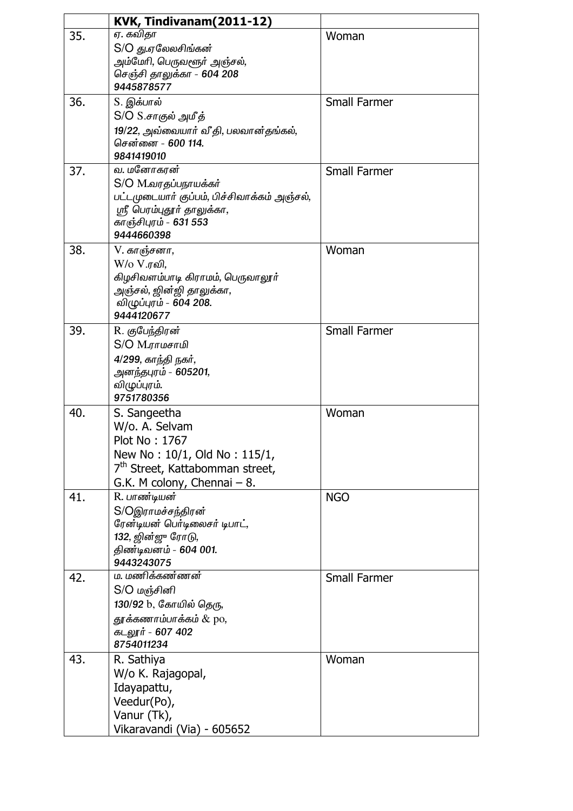|     | KVK, Tindivanam(2011-12)                                                                                                                                      |                     |
|-----|---------------------------------------------------------------------------------------------------------------------------------------------------------------|---------------------|
| 35. | <del>ஏ</del> . கவிதா<br>S/O து.ஏலேலசிங்கன்<br>அம்மேரி, பெருவளூர் அஞ்சல்,<br>செஞ்சி தாலுக்கா - 604 208<br>9445878577                                           | Woman               |
| 36. | S. இக்பால்<br>S/O S.சாகுல் அமீத்<br>19/22, அவ்வையார் வீதி, பலவான்தங்கல்,<br>சென்னை - 600 114.<br>9841419010                                                   | <b>Small Farmer</b> |
| 37. | வ. மனோகரன்<br>S/O M.வரதப்பநாயக்கர்<br>பட்டமுடையார் குப்பம், பிச்சிவாக்கம் அஞ்சல்,<br>ஸ்ரீ பெரம்புதூர் தாலுக்கா,<br>காஞ்சிபுரம் - 631 553<br>9444660398        | <b>Small Farmer</b> |
| 38. | V. காஞ்சனா,<br>W/o V.ரவி,<br>கிழசிவளம்பாடி கிராமம், பெருவாலூர்<br>அஞ்சல், ஜின்ஜி தாலுக்கா,<br>விழுப்புரம் - 604 208.<br>9444120677                            | Woman               |
| 39. | R. குபேந்திரன்<br>S/O M.ராமசாமி<br>4/299, காந்தி நகர்,<br>அனந்தபுரம் - 605201,<br>விழுப்புரம்.<br>9751780356                                                  | <b>Small Farmer</b> |
| 40. | S. Sangeetha<br>W/o. A. Selvam<br>Plot No: 1767<br>New No: 10/1, Old No: 115/1,<br>7 <sup>th</sup> Street, Kattabomman street,<br>G.K. M colony, Chennai - 8. | Woman               |
| 41. | R. பாண்டியன்<br>S/Oஇராமச்சந்திரன்<br>ரேன்டியன் பெர்டிலைசர் டிபாட்,<br>132, ஜின்ஜு ரோடு,<br>திண்டிவனம் - 604 001.<br>9443243075                                | <b>NGO</b>          |
| 42. | ம. மணிக்கண்ணன்<br>S/O மஞ்சினி<br>130/92 b, கோயில் தெரு,<br>தூக்கணாம்பாக்கம் & po,<br>கடலூர் - 607 402<br>8754011234                                           | <b>Small Farmer</b> |
| 43. | R. Sathiya<br>W/o K. Rajagopal,<br>Idayapattu,<br>Veedur(Po),<br>Vanur (Tk),<br>Vikaravandi (Via) - 605652                                                    | Woman               |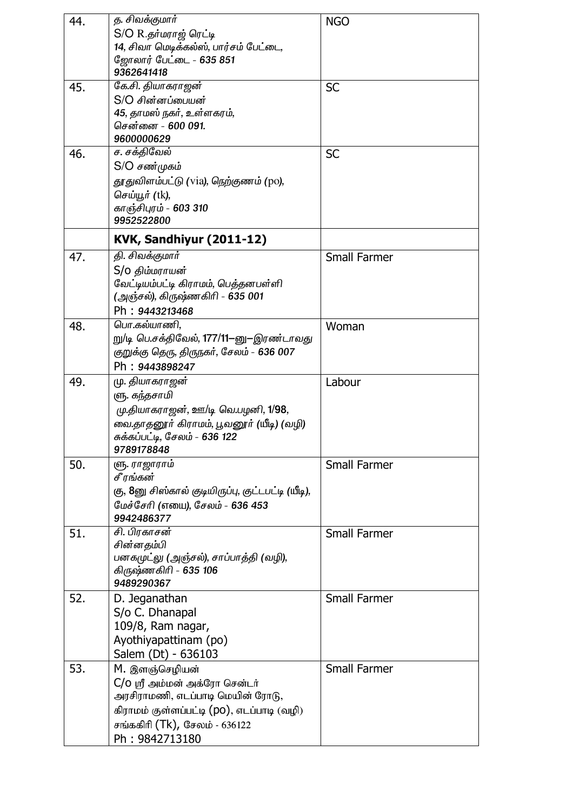| 44. | த. சிவக்குமார்                                    | <b>NGO</b>          |
|-----|---------------------------------------------------|---------------------|
|     | S/O R.தர்மராஜ் ரெட்டி                             |                     |
|     | 14, சிவா மெடிக்கல்ஸ், பார்சம் பேட்டை,             |                     |
|     | ஜோலார் பேட்டை - 635 851                           |                     |
|     | 9362641418                                        |                     |
| 45. | கே.சி. தியாகராஜன்                                 | <b>SC</b>           |
|     | S/O சின்னப்பையன்                                  |                     |
|     | 45, தாமஸ் நகர், உள்ளகரம்,                         |                     |
|     | சென்னை - 600 091.                                 |                     |
|     | 9600000629                                        |                     |
| 46. | ச. சக்திவேல்                                      | <b>SC</b>           |
|     | $S/O$ சண்முகம்                                    |                     |
|     | தூதுவிளம்பட்டு (via), நெற்குணம் (po),             |                     |
|     | செய்யூர் (tk),                                    |                     |
|     | காஞ்சிபுரம் - 603 310                             |                     |
|     | 9952522800                                        |                     |
|     |                                                   |                     |
|     | KVK, Sandhiyur (2011-12)                          |                     |
| 47. | தி. சிவக்குமார்                                   | <b>Small Farmer</b> |
|     | S/o திம்மராயன்                                    |                     |
|     | வேட்டியம்பட்டி கிராமம், பெத்தனபள்ளி               |                     |
|     | (அஞ்சல்), கிருஷ்ணகிரி - 635 001                   |                     |
|     | Ph: 9443213468                                    |                     |
| 48. | பொ.கல்யாணி,                                       | Woman               |
|     | று/டி பெ.சக்திவேல், 177/11–னு–இரண்டாவது           |                     |
|     | குறுக்கு தெரு, திருநகர், சேலம் – 636 007          |                     |
|     | Ph: 9443898247                                    |                     |
| 49. | மு. தியாகராஜன்                                    | Labour              |
|     | ளு. கந்தசாமி                                      |                     |
|     | மு.தியாகராஜன், ஊ/டி வெ.பழனி, 1/98,                |                     |
|     | வை.தாதனூர் கிராமம், பூவனூர் (யீடி) (வழி)          |                     |
|     | சுக்கப்பட்டி, சேலம் - 636 122                     |                     |
|     | 9789178848                                        |                     |
| 50. | ளு. ராஜாராம்                                      | <b>Small Farmer</b> |
|     | சீரங்கன்                                          |                     |
|     | கு, 8னு சிஸ்கால் குடியிருப்பு, குட்டபட்டி (யீடி), |                     |
|     | மேச்சேரி (எயை), சேலம் - 636 453                   |                     |
|     | 9942486377                                        |                     |
| 51. | சி. பிரகாசன்                                      | <b>Small Farmer</b> |
|     | சின்னதம்பி                                        |                     |
|     | பனகமுட்லு (அஞ்சல்), சாப்பாத்தி (வழி),             |                     |
|     | கிருஷ்ணகிரி - 635 106                             |                     |
|     | 9489290367                                        |                     |
| 52. | D. Jeganathan                                     | <b>Small Farmer</b> |
|     | S/o C. Dhanapal                                   |                     |
|     | 109/8, Ram nagar,                                 |                     |
|     | Ayothiyapattinam (po)                             |                     |
|     | Salem (Dt) - 636103                               |                     |
| 53. | M. இளஞ்செழியன்                                    | <b>Small Farmer</b> |
|     | C/O ஸ்ரீ அம்மன் அக்ரோ சென்டர்                     |                     |
|     | அரசிராமணி, எடப்பாடி மெயின் ரோடு,                  |                     |
|     |                                                   |                     |
|     | கிராமம் குள்ளப்பட்டி (po), எடப்பாடி (வழி)         |                     |
|     | சங்ககிரி (Tk), சேலம் - 636122                     |                     |
|     | Ph: 9842713180                                    |                     |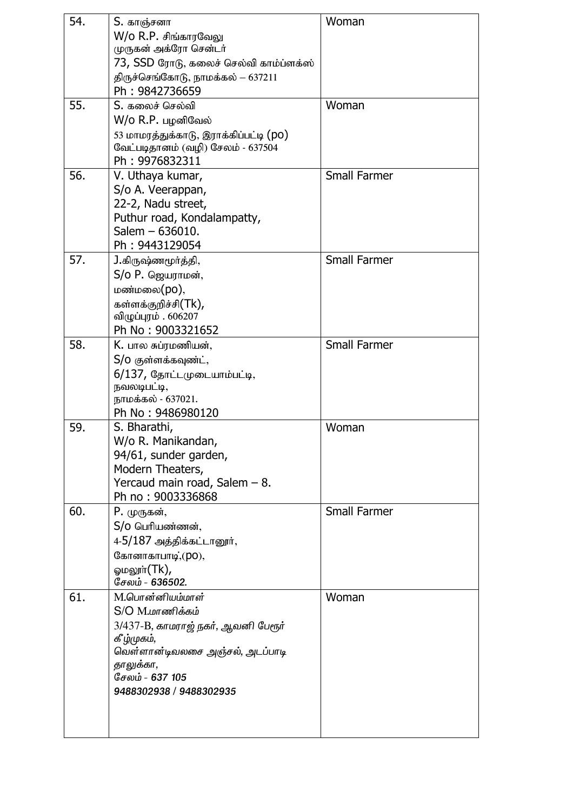| 54. | S. காஞ்சனா<br>W/o R.P. சிங்காரவேலு<br>முருகன் அக்ரோ சென்டர்<br>73, SSD ரோடு, கலைச் செல்வி காம்ப்ளக்ஸ்<br>திருச்செங்கோடு, நாமக்கல் – 637211<br>Ph: 9842736659                                   | Woman               |
|-----|------------------------------------------------------------------------------------------------------------------------------------------------------------------------------------------------|---------------------|
| 55. | S. கலைச் செல்வி<br>W/o R.P. பழனிவேல்<br>53 மாமரத்துக்காடு, இராக்கிப்பட்டி (po)<br>வேட்படிதானம் (வழி) சேலம் - 637504<br>Ph: 9976832311                                                          | Woman               |
| 56. | V. Uthaya kumar,<br>S/o A. Veerappan,<br>22-2, Nadu street,<br>Puthur road, Kondalampatty,<br>Salem - 636010.<br>Ph: 9443129054                                                                | <b>Small Farmer</b> |
| 57. | <b>J.</b> கிருஷ்ணமூர்த்தி,<br>$S/O$ Р. ஜெயராமன்,<br>மண்மலை(po),<br>கள்ளக்குறிச்சி(Tk),<br>விழுப்புரம் . 606207<br>Ph No: 9003321652                                                            | <b>Small Farmer</b> |
| 58. | K. பால சுப்ரமணியன்,<br>S/0 குள்ளக்கவுண்ட்,<br>6/137, தோட்டமுடையாம்பட்டி,<br>நவலடிபட்டி,<br>நாமக்கல் - 637021.<br>Ph No: 9486980120                                                             | <b>Small Farmer</b> |
| 59. | S. Bharathi,<br>W/o R. Manikandan,<br>94/61, sunder garden,<br>Modern Theaters,<br>Yercaud main road, Salem - 8.<br>Ph no: 9003336868                                                          | Woman               |
| 60. | P. முருகன்,<br>S/o பெரியண்ணன்,<br>4-5/187 அத்திக்கட்டானூர்,<br>கோனாகாபாடி, (po),<br>லும் $(\mathsf{Tk})$ ,<br>சேலம் - 636502.                                                                  | <b>Small Farmer</b> |
| 61. | M.பொன்னியம்மாள்<br>$S/O$ $M.\omega$ ாணிக்கம்<br>3/437-B, காமராஜ் நகர், ஆவனி பேரூர்<br>கீழ்முகம்,<br>வெள்ளான்டிவலசை அஞ்சல், அடப்பாடி<br>தாலுக்கா,<br>சேலம் - 637 105<br>9488302938 / 9488302935 | Woman               |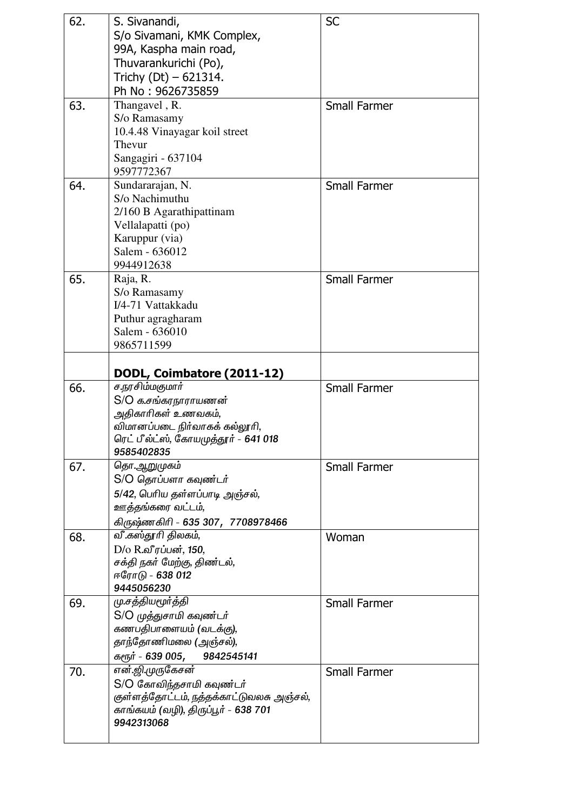| 62. | S. Sivanandi,                            | <b>SC</b>           |
|-----|------------------------------------------|---------------------|
|     | S/o Sivamani, KMK Complex,               |                     |
|     | 99A, Kaspha main road,                   |                     |
|     | Thuvarankurichi (Po),                    |                     |
|     | Trichy $(Dt) - 621314$ .                 |                     |
|     |                                          |                     |
|     | Ph No: 9626735859                        |                     |
| 63. | Thangavel, R.                            | <b>Small Farmer</b> |
|     | S/o Ramasamy                             |                     |
|     | 10.4.48 Vinayagar koil street            |                     |
|     | Thevur                                   |                     |
|     | Sangagiri - 637104                       |                     |
|     | 9597772367                               |                     |
| 64. | Sundararajan, N.                         | <b>Small Farmer</b> |
|     | S/o Nachimuthu                           |                     |
|     | 2/160 B Agarathipattinam                 |                     |
|     | Vellalapatti (po)                        |                     |
|     | Karuppur (via)                           |                     |
|     | Salem - 636012                           |                     |
|     | 9944912638                               |                     |
| 65. | Raja, R.                                 | <b>Small Farmer</b> |
|     | S/o Ramasamy                             |                     |
|     | I/4-71 Vattakkadu                        |                     |
|     | Puthur agragharam                        |                     |
|     | Salem - 636010                           |                     |
|     | 9865711599                               |                     |
|     |                                          |                     |
|     |                                          |                     |
|     | DODL, Coimbatore (2011-12)               |                     |
|     |                                          |                     |
| 66. | ச.நரசிம்மகுமார்                          | <b>Small Farmer</b> |
|     | S/O க.சங்கரநாராயணன்                      |                     |
|     | அதிகாரிகள் உணவகம்,                       |                     |
|     | விமானப்படை நிர்வாகக் கல்லூரி,            |                     |
|     | ரெட் பீல்ட்ஸ், கோயமுத்தூர் - 641 018     |                     |
|     | 9585402835                               |                     |
| 67. | தொ.ஆறுமுகம்                              | <b>Small Farmer</b> |
|     | S/O தொப்பளா கவுண்டர்                     |                     |
|     | 5/42, பெரிய தள்ளப்பாடி அஞ்சல்,           |                     |
|     | ஊத்தங்கரை வட்டம்,                        |                     |
|     |                                          |                     |
|     | கிருஷ்ணகிரி - 635 307, 7708978466        |                     |
| 68. | வீ.கஸ்தூரி திலகம்,                       | Woman               |
|     | D/o R.வீரப்பன், 150,                     |                     |
|     | சக்தி நகர் மேற்கு, திண்டல்,              |                     |
|     | ஈரோடு - 638 012                          |                     |
|     | 9445056230                               |                     |
| 69. | மு.சத்தியமூர்த்தி                        | <b>Small Farmer</b> |
|     | S/O முத்துசாமி கவுண்டர்                  |                     |
|     | கணபதிபாளையம் (வடக்கு),                   |                     |
|     | தாந்தோணிமலை (அஞ்சல்),                    |                     |
|     | கரூர் - 639 005, 9842545141              |                     |
| 70. | என்.ஜி.முருகேசன்                         | <b>Small Farmer</b> |
|     | S/O கோவிந்தசாமி கவுண்டர்                 |                     |
|     | குள்ளத்தோட்டம், நத்தக்காட்டுவலசு அஞ்சல், |                     |
|     | காங்கயம் (வழி), திருப்பூர் – 638 701     |                     |
|     | 9942313068                               |                     |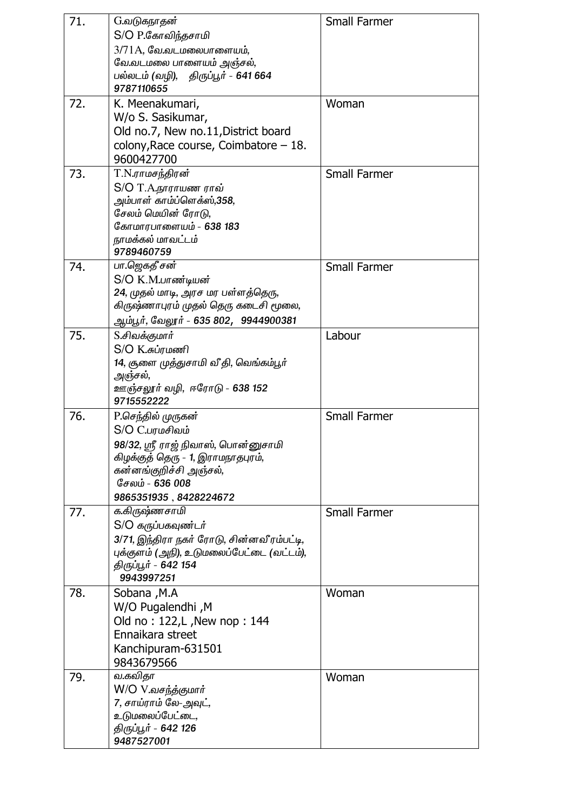| 71. | G.வடுகநாதன்                                      | <b>Small Farmer</b> |
|-----|--------------------------------------------------|---------------------|
|     | S/O P.கோவிந்தசாமி                                |                     |
|     | $3/71A$ , வே.வடமலைபாளையம்,                       |                     |
|     | வே.வடமலை பாளையம் அஞ்சல்,                         |                     |
|     | பல்லடம் (வழி), திருப்பூர் - 641 664              |                     |
|     | 9787110655                                       |                     |
| 72. | K. Meenakumari,                                  | Woman               |
|     | W/o S. Sasikumar,                                |                     |
|     | Old no.7, New no.11, District board              |                     |
|     | colony, Race course, Coimbatore $-18$ .          |                     |
|     | 9600427700                                       |                     |
| 73. | T.N.ராமசந்திரன்                                  | <b>Small Farmer</b> |
|     | S/O T.A.நாராயண ராவ்                              |                     |
|     | அம்பாள் காம்ப்ளெக்ஸ்,358,<br>சேலம் மெயின் ரோடு,  |                     |
|     | கோமாரபாளையம் - 638 183                           |                     |
|     | நாமக்கல் மாவட்டம்                                |                     |
|     | 9789460759                                       |                     |
| 74. | பா.ஜெகதீ சன்                                     | <b>Small Farmer</b> |
|     | S/O K.M.பாண்டியன்                                |                     |
|     | 24, முதல் மாடி, அரச மர பள்ளத்தெரு,               |                     |
|     | கிருஷ்ணாபுரம் முதல் தெரு கடைசி மூலை,             |                     |
|     | ஆம்பூர், வேலூர் - 635 802,  9944900381           |                     |
| 75. | S.சிவக்குமார்                                    | Labour              |
|     | S/O K.சுப்ரமணி                                   |                     |
|     | 14, சூளை முத்துசாமி வீ தி, வெங்கம்பூர்           |                     |
|     | அஞ்சல்,                                          |                     |
|     | ஊஞ்சலூர் வழி, ஈரோடு - 638 152<br>9715552222      |                     |
| 76. | P.செந்தில் முருகன்                               | <b>Small Farmer</b> |
|     | S/O C.பரமசிவம்                                   |                     |
|     | 98/32, ஸ்ரீ ராஜ் நிவாஸ், பொன்னுசாமி              |                     |
|     | கிழக்குத் தெரு - 1, இராமநாதபுரம்,                |                     |
|     | கன்னங்குறிச்சி அஞ்சல்,                           |                     |
|     | சேலம் - 636 008                                  |                     |
|     | 9865351935, 8428224672                           |                     |
| 77. | க.கிருஷ்ணசாமி                                    | <b>Small Farmer</b> |
|     | S/O கருப்பகவுண்டர்                               |                     |
|     | 3/71, இந்திரா நகர் ரோடு, சின்னவீரம்பட்டி,        |                     |
|     | புக்குளம் (அநி), உடுமலைப்பேட்டை (வட்டம்),        |                     |
|     | திருப்பூர் - 642 154                             |                     |
|     | 9943997251                                       |                     |
| 78. | Sobana, M.A                                      | Woman               |
|     | W/O Pugalendhi, M                                |                     |
|     | Old no: 122, L, New nop: 144<br>Ennaikara street |                     |
|     | Kanchipuram-631501                               |                     |
|     | 9843679566                                       |                     |
| 79. | வ.கவிதா                                          | Woman               |
|     | W/O V.வசந்த்குமார்                               |                     |
|     | 7, சாய்ராம் லே-அவுட்,                            |                     |
|     | உடுமலைப்பேட்டை,                                  |                     |
|     | திருப்பூர் - 642 126                             |                     |
|     | 9487527001                                       |                     |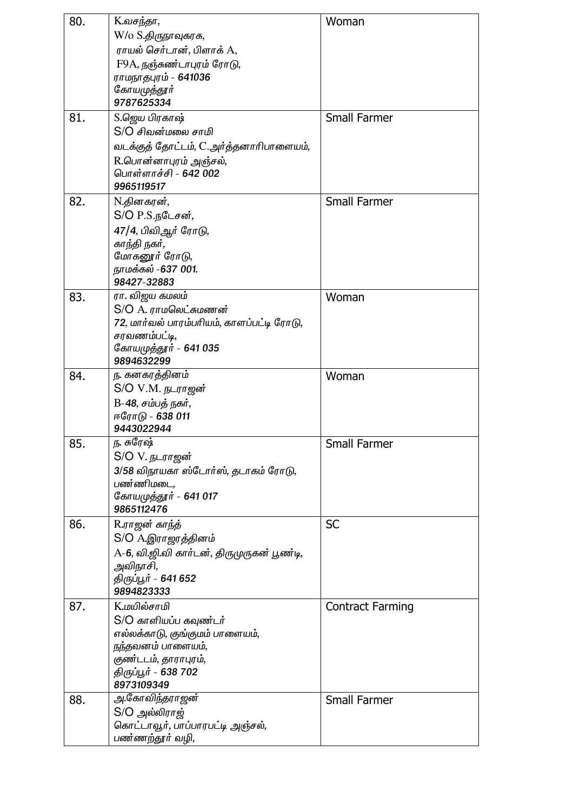| 80. | K.வசந்தா,                                        | Woman                   |
|-----|--------------------------------------------------|-------------------------|
|     | W/o S.திருநாவுகரசு,                              |                         |
|     | ராயல் செர்டான், பிளாக் A,                        |                         |
|     | F9A, நஞ்சுண்டாபுரம் ரோடு,                        |                         |
|     | ராமநாதபுரம் - 641036                             |                         |
|     | கோயமுத்தூா்                                      |                         |
|     | 9787625334                                       |                         |
| 81. | S.ஜெய பிரகாஷ்                                    | <b>Small Farmer</b>     |
|     | S/O சிவன்மலை சாமி                                |                         |
|     | வடக்குத் தோட்டம், C.அர்த்தனாரிபாளையம்,           |                         |
|     | R.பொன்னாபுரம் அஞ்சல்,                            |                         |
|     | பொள்ளாச்சி - 642 002                             |                         |
|     | 9965119517                                       |                         |
| 82. | N.தினகரன்,                                       | <b>Small Farmer</b>     |
|     | S/O P.S.நடேசன்,                                  |                         |
|     | 47/4, பிவிஆர் ரோடு,                              |                         |
|     | காந்தி நகர்,                                     |                         |
|     | மோகனூர் ரோடு,                                    |                         |
|     | நாமக்கல் -637 001.                               |                         |
|     | 98427-32883<br>ரா. விஜய கமலம்                    |                         |
| 83. | $S/O$ $A.$ $\eta$ ாமலெட்சுமணன்                   | Woman                   |
|     | 72, மார்வல் பாரம்பரியம், காளப்பட்டி ரோடு,        |                         |
|     | சரவணம்பட்டி,                                     |                         |
|     | கோயமுத்தூர் - 641 035                            |                         |
|     | 9894632299                                       |                         |
| 84. | ந. கனகரத்தினம்                                   | Woman                   |
|     | S/O V.M. நடராஜன்                                 |                         |
|     | B-48, சம்பத் நகர்,                               |                         |
|     | ஈரோடு - 638 011                                  |                         |
|     | 9443022944                                       |                         |
| 85. | ந. சுரேஷ்                                        | Small Farmer            |
|     | S/O V. நடராஜன்                                   |                         |
|     | 3/58 விநாயகா ஸ்டோர்ஸ், தடாகம் ரோடு,<br>பண்ணிமடை, |                         |
|     | கோயமுத்தூர் - 641 017                            |                         |
|     | 9865112476                                       |                         |
| 86. | R.ராஜன் காந்த்                                   | <b>SC</b>               |
|     | S/O A.இராஜரத்தினம்                               |                         |
|     | A-6, வி.ஜி.வி கார்டன், திருமுருகன் பூண்டி,       |                         |
|     | அவிநாசி,                                         |                         |
|     | திருப்பூர் - 641 652                             |                         |
|     | 9894823333                                       |                         |
| 87. | <b>K.மயில்சாமி</b>                               | <b>Contract Farming</b> |
|     | S/O காளியப்ப கவுண்டர்                            |                         |
|     | எல்லக்காடு, குங்குமம் பாளையம்,                   |                         |
|     | <u>நந்</u> தவனம் பாளையம்,                        |                         |
|     | குண்டடம், தாராபுரம்,                             |                         |
|     | திருப்பூர் - 638 702<br>8973109349               |                         |
| 88. | அ.கோவிந்தராஜன்                                   | <b>Small Farmer</b>     |
|     | S/O அல்லிராஜ்                                    |                         |
|     | கொட்டாவூர், பாப்பாரபட்டி அஞ்சல்,                 |                         |
|     | பண்ணற்தூர் வழி,                                  |                         |
|     |                                                  |                         |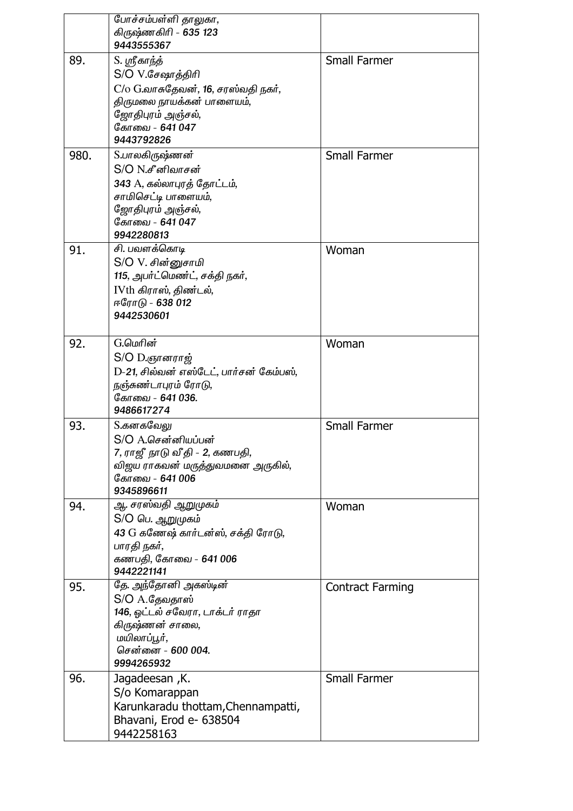|      | போச்சம்பள்ளி தாலுகா,                             |                         |
|------|--------------------------------------------------|-------------------------|
|      | கிருஷ்ணகிரி - 635 123<br>9443555367              |                         |
| 89.  | S. ஸ்ரீகாந்த்                                    | <b>Small Farmer</b>     |
|      | S/O V.சேஷாத்திரி                                 |                         |
|      | $C$ / $O$ $G$ .வாசுதேவன், 16, சரஸ்வதி நகர்,      |                         |
|      | திருமலை நாயக்கன் பாளையம்,                        |                         |
|      | ஜோதிபுரம் அஞ்சல்,                                |                         |
|      | கோவை - 641 047                                   |                         |
|      | 9443792826                                       |                         |
| 980. | S.பாலகிருஷ்ணன்                                   | <b>Small Farmer</b>     |
|      | S/O N.சீனிவாசன்                                  |                         |
|      | 343 A, கல்லாபுரத் தோட்டம்,                       |                         |
|      | சாமிசெட்டி பாளையம்,                              |                         |
|      | ஜோதிபுரம் அஞ்சல்,                                |                         |
|      | கோவை - 641 047                                   |                         |
|      | 9942280813                                       |                         |
| 91.  | சி. பவளக்கொடி                                    | Woman                   |
|      | S/O V. சின்னுசாமி                                |                         |
|      | 115, அபர்ட்மெண்ட், சக்தி நகர்,                   |                         |
|      | IVth கிராஸ், திண்டல்,<br>ஈரோடு - 638 012         |                         |
|      | 9442530601                                       |                         |
|      |                                                  |                         |
| 92.  | G.மெரின்                                         | Woman                   |
|      | S/O D.ஞானராஜ்                                    |                         |
|      | D-21, சில்வன் எஸ்டேட், பார்சன் கேம்பஸ்,          |                         |
|      | நஞ்சுண்டாபுரம் ரோடு,                             |                         |
|      | கோவை - 641 036.                                  |                         |
|      | 9486617274                                       |                         |
| 93.  | S.கனகவேலு                                        | <b>Small Farmer</b>     |
|      | S/O A.சென்னியப்பன்                               |                         |
|      | 7, ராஜீ நாடு வீ தி - 2, கணபதி,                   |                         |
|      | விஜய ராகவன் மருத்துவமனை அருகில்,                 |                         |
|      | கோவை - 641 006                                   |                         |
|      | 9345896611                                       |                         |
| 94.  | ஆ. சரஸ்வதி ஆறுமுகம்                              | Woman                   |
|      | S/O பெ. ஆறுமுகம்                                 |                         |
|      | 43 G கணேஷ் கார்டன்ஸ், சக்தி ரோடு,<br>பாரதி நகர், |                         |
|      | கணபதி, கோவை - 641 006                            |                         |
|      | 9442221141                                       |                         |
| 95.  | தே. அந்தோனி அகஸ்டின்                             | <b>Contract Farming</b> |
|      | S/O A.தேவதாஸ்                                    |                         |
|      | 146, ஓட்டல் சவேரா, டாக்டர் ராதா                  |                         |
|      | கிருஷ்ணன் சாலை,                                  |                         |
|      | மயிலாப்பூர்,                                     |                         |
|      | சென்னை - 600 004.                                |                         |
|      | 9994265932                                       |                         |
| 96.  | Jagadeesan, K.                                   | <b>Small Farmer</b>     |
|      | S/o Komarappan                                   |                         |
|      | Karunkaradu thottam, Chennampatti,               |                         |
|      | Bhavani, Erod e- 638504                          |                         |
|      | 9442258163                                       |                         |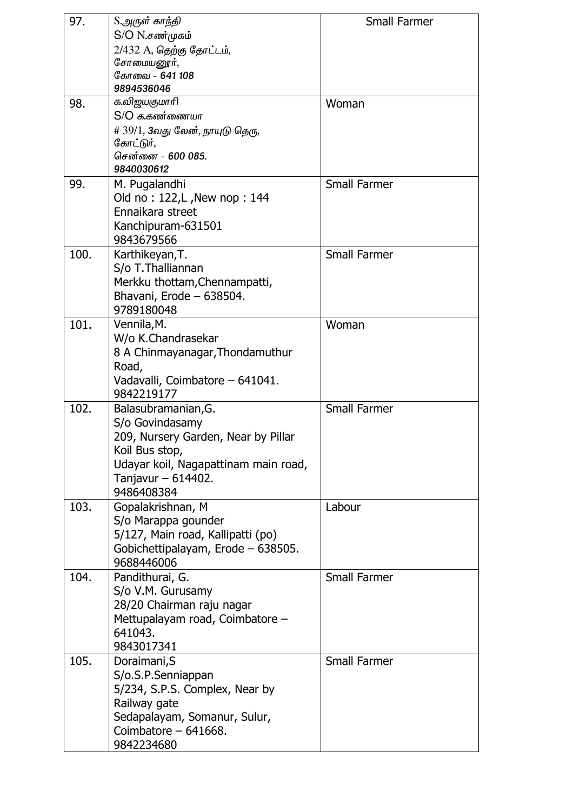| 97.  | S.அருள் காந்தி<br>$S/O N.\vec{\theta}$ ண்முகம்           | <b>Small Farmer</b> |
|------|----------------------------------------------------------|---------------------|
|      | 2/432 A, தெற்கு தோட்டம்,                                 |                     |
|      | சோமையனூர்,                                               |                     |
|      | கோவை - 641 108                                           |                     |
|      | 9894536046                                               |                     |
| 98.  | க.விஜயகுமாரி                                             | Woman               |
|      | $S/O$ க.கண்ணையா                                          |                     |
|      | # 39/1, 3வது லேன், நாயுடு தெரு,                          |                     |
|      | கோட்டுர்,<br>சென்னை - 600 085.                           |                     |
|      | 9840030612                                               |                     |
| 99.  | M. Pugalandhi                                            | <b>Small Farmer</b> |
|      | Old no: 122, L, New nop: 144                             |                     |
|      | Ennaikara street                                         |                     |
|      | Kanchipuram-631501                                       |                     |
|      | 9843679566                                               |                     |
| 100. | Karthikeyan, T.                                          | <b>Small Farmer</b> |
|      | S/o T. Thalliannan                                       |                     |
|      | Merkku thottam, Chennampatti,                            |                     |
|      | Bhavani, Erode - 638504.                                 |                     |
|      | 9789180048                                               |                     |
| 101. | Vennila, M.                                              | Woman               |
|      | W/o K.Chandrasekar                                       |                     |
|      | 8 A Chinmayanagar, Thondamuthur<br>Road,                 |                     |
|      | Vadavalli, Coimbatore - 641041.                          |                     |
|      | 9842219177                                               |                     |
| 102. | Balasubramanian, G.                                      | <b>Small Farmer</b> |
|      | S/o Govindasamy                                          |                     |
|      | 209, Nursery Garden, Near by Pillar                      |                     |
|      | Koil Bus stop,                                           |                     |
|      | Udayar koil, Nagapattinam main road,                     |                     |
|      | Tanjavur $-614402$ .                                     |                     |
|      | 9486408384                                               |                     |
| 103. | Gopalakrishnan, M                                        | Labour              |
|      | S/o Marappa gounder<br>5/127, Main road, Kallipatti (po) |                     |
|      | Gobichettipalayam, Erode - 638505.                       |                     |
|      | 9688446006                                               |                     |
| 104. | Pandithurai, G.                                          | <b>Small Farmer</b> |
|      | S/o V.M. Gurusamy                                        |                     |
|      | 28/20 Chairman raju nagar                                |                     |
|      | Mettupalayam road, Coimbatore -                          |                     |
|      | 641043.                                                  |                     |
|      | 9843017341                                               |                     |
| 105. | Doraimani, S                                             | <b>Small Farmer</b> |
|      | S/o.S.P.Senniappan                                       |                     |
|      | 5/234, S.P.S. Complex, Near by                           |                     |
|      | Railway gate                                             |                     |
|      | Sedapalayam, Somanur, Sulur,<br>Coimbatore $-641668$ .   |                     |
|      | 9842234680                                               |                     |
|      |                                                          |                     |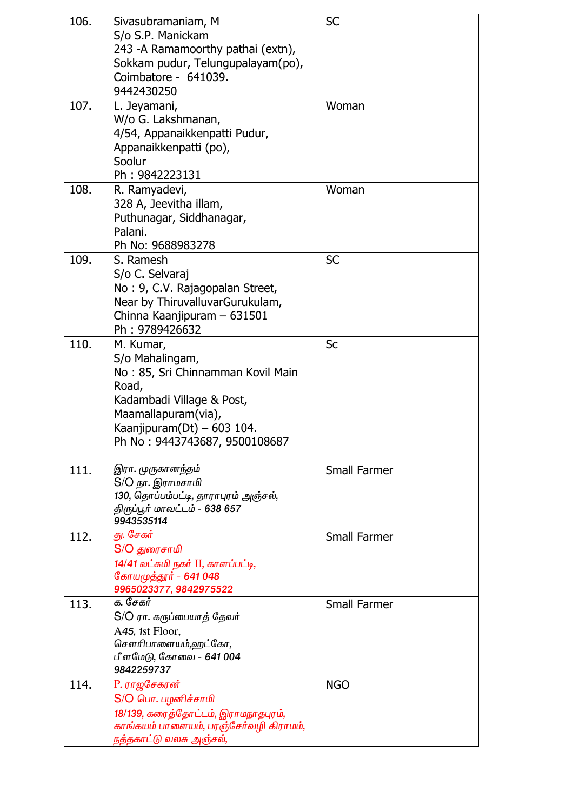| 106. | Sivasubramaniam, M<br>S/o S.P. Manickam<br>243 -A Ramamoorthy pathai (extn),<br>Sokkam pudur, Telungupalayam(po),<br>Coimbatore - 641039.<br>9442430250                                       | <b>SC</b>           |
|------|-----------------------------------------------------------------------------------------------------------------------------------------------------------------------------------------------|---------------------|
| 107. | L. Jeyamani,<br>W/o G. Lakshmanan,<br>4/54, Appanaikkenpatti Pudur,<br>Appanaikkenpatti (po),<br>Soolur<br>Ph: 9842223131                                                                     | Woman               |
| 108. | R. Ramyadevi,<br>328 A, Jeevitha illam,<br>Puthunagar, Siddhanagar,<br>Palani.<br>Ph No: 9688983278                                                                                           | Woman               |
| 109. | S. Ramesh<br>S/o C. Selvaraj<br>No: 9, C.V. Rajagopalan Street,<br>Near by ThiruvalluvarGurukulam,<br>Chinna Kaanjipuram - 631501<br>Ph: 9789426632                                           | <b>SC</b>           |
| 110. | M. Kumar,<br>S/o Mahalingam,<br>No: 85, Sri Chinnamman Kovil Main<br>Road,<br>Kadambadi Village & Post,<br>Maamallapuram(via),<br>Kaanjipuram(Dt) - 603 104.<br>Ph No: 9443743687, 9500108687 | Sc                  |
| 111. | இரா. முருகானந்தம்<br>S/O நா. இராமசாமி<br>130, தொப்பம்பட்டி, தாராபுரம் அஞ்சல்,<br>திருப்பூர் மாவட்டம் - 638 657<br>9943535114                                                                  | <b>Small Farmer</b> |
| 112. | து. சேகர்<br>S/O துரைசாமி<br>14/41 லட்சுமி நகர் II, காளப்பட்டி,<br>கோயமுத்தூர் - 641 048<br>9965023377, 9842975522                                                                            | <b>Small Farmer</b> |
| 113. | க. சேகர்<br>S/O ரா. கருப்பையாத் தேவர்<br>A45, 1st Floor,<br>சௌரிபாளையம்,ஹட்கோ,<br>பீளமேடு, கோவை - 641 004<br>9842259737                                                                       | <b>Small Farmer</b> |
| 114. | P. ராஜசேகரன்<br>S/O பொ. பழனிச்சாமி<br>18/139, கரைத்தோட்டம், இராமநாதபுரம்,<br>காங்கயம் பாளையம், பரஞ்சேர்வழி கிராமம்,<br>நத்தகாட்டு வலசு அஞ்சல்,                                                | <b>NGO</b>          |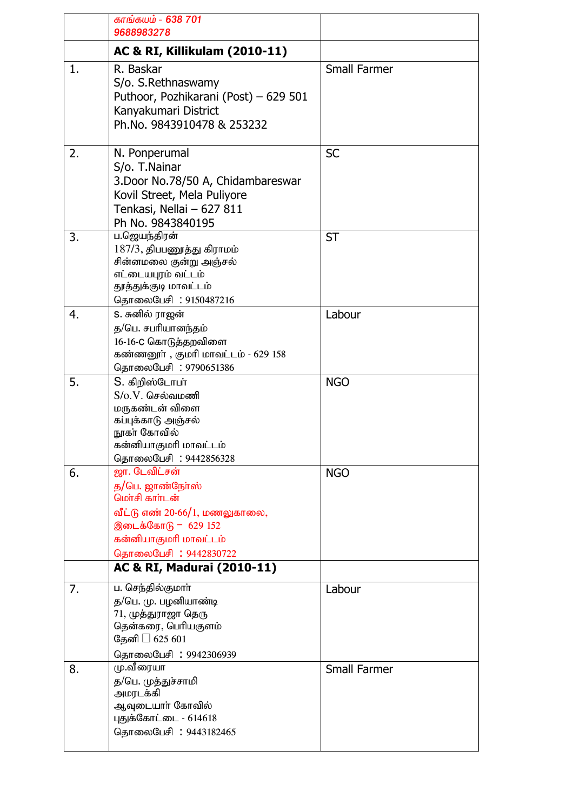|    | காங்கயம் - 638 701<br>9688983278                                                                                                                                                                 |                     |
|----|--------------------------------------------------------------------------------------------------------------------------------------------------------------------------------------------------|---------------------|
|    | AC & RI, Killikulam (2010-11)                                                                                                                                                                    |                     |
| 1. | R. Baskar<br>S/o. S. Rethnaswamy<br>Puthoor, Pozhikarani (Post) - 629 501<br>Kanyakumari District<br>Ph.No. 9843910478 & 253232                                                                  | <b>Small Farmer</b> |
| 2. | N. Ponperumal<br>S/o. T.Nainar<br>3. Door No. 78/50 A, Chidambareswar<br>Kovil Street, Mela Puliyore<br>Tenkasi, Nellai - 627 811<br>Ph No. 9843840195                                           | <b>SC</b>           |
| 3. | ப.ஜெயந்திரன்<br>$187/3$ , திபபணுத்து கிராமம்<br>சின்னமலை குன்று அஞ்சல்<br>எட்டையபுரம் வட்டம்<br>தூத்துக்குடி மாவட்டம்<br>தொலைபேசி: 9150487216                                                    | <b>ST</b>           |
| 4. | S. சுனில் ராஜன்<br>த/பெ. சபரியானந்தம்<br>16-16-C கொடுத்தறவிளை<br>கண்ணனூா், குமாி மாவட்டம் - 629 158<br>தொலைபேசி: 9790651386                                                                      | Labour              |
| 5. | S. கிறிஸ்டோபா்<br>$S/O.V.$ செல்வமணி<br>மருகண்டன் விளை<br>கப்புக்காடு அஞ்சல்<br>நூகா் கோவில்<br>கன்னியாகுமரி மாவட்டம்<br>தொலைபேசி: 9442856328                                                     | <b>NGO</b>          |
| 6. | ஜா. டேவிட்சன்<br>த/பெ. ஜாண்நோஸ்<br>மொசி காாடன்<br>வீட்டு எண் 20-66/1, மணலுகாலை,<br>இடைக்கோடு - 629 152<br>கன்னியாகுமரி மாவட்டம்<br>தொலைபேசி: 9442830722<br><b>AC &amp; RI, Madurai (2010-11)</b> | <b>NGO</b>          |
| 7. | ப. செந்தில்குமாா்<br>த/பெ. மு. பழனியாண்டி<br>71, முத்துராஜா தெரு<br>தென்கரை, பெரியகுளம்<br>தேனி<br>625 601<br>தொலைபேசி: 9942306939                                                               | Labour              |
| 8. | மு.வீரையா<br>த/பெ. முத்துச்சாமி<br>அமரடக்கி<br>ஆவுடையாா் கோவில்<br>புதுக்கோட்டை - 614618<br>தொலைபேசி: 9443182465                                                                                 | <b>Small Farmer</b> |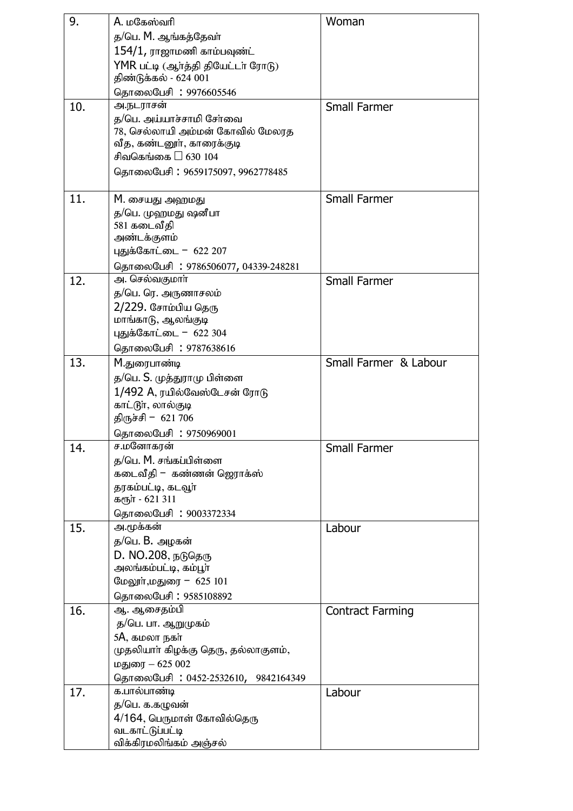| 9.  | A. மகேஸ்வரி                                           | Woman                   |
|-----|-------------------------------------------------------|-------------------------|
|     | த/பெ. M. ஆங்கத்தேவா்                                  |                         |
|     | $154/1$ , ராஜாமணி காம்பவுண்ட்                         |                         |
|     | YMR பட்டி (ஆா்த்தி தியேட்டா் ரோடு)                    |                         |
|     | திண்டுக்கல் - 624 001                                 |                         |
|     | தொலைபேசி: 9976605546                                  |                         |
| 10. | அ.நடராசன்                                             | <b>Small Farmer</b>     |
|     | த/பெ. அய்யாச்சாமி சேர்வை                              |                         |
|     | 78, செல்லாயி அம்மன் கோவில் மேலரத                      |                         |
|     | வீத, கண்டனூா், காரைக்குடி                             |                         |
|     | சிவகெங்கை<br>630 104                                  |                         |
|     | தொலைபேசி: 9659175097, 9962778485                      |                         |
|     |                                                       |                         |
| 11. | M. சையது அஹமது                                        | <b>Small Farmer</b>     |
|     | த/பெ. முஹமது ஷனீபா                                    |                         |
|     | 581 கடைவீதி<br>அண்டக்குளம்                            |                         |
|     | புதுக்கோட்டை - 622 207                                |                         |
|     |                                                       |                         |
| 12. | தொலைபேசி : 9786506077, 04339-248281<br>அ. செல்வகுமாா் | <b>Small Farmer</b>     |
|     | த/பெ. ரெ. அருணாசலம்                                   |                         |
|     | 2/229. சோம்பிய தெரு                                   |                         |
|     | மாங்காடு, ஆலங்குடி                                    |                         |
|     | புதுக்கோட்டை - 622 304                                |                         |
|     | தொலைபேசி: 9787638616                                  |                         |
| 13. | M.துரைபாண்டி                                          | Small Farmer & Labour   |
|     | த/பெ. S. முத்துராமு பிள்ளை                            |                         |
|     | 1/492 A, ரயில்வேஸ்டேசன் ரோடு                          |                         |
|     | காட்டூா், லால்குடி                                    |                         |
|     | திருச்சி - 621 706                                    |                         |
|     | தொலைபேசி: 9750969001                                  |                         |
| 14. | ச.மனோகரன்                                             | <b>Small Farmer</b>     |
|     | த/பெ. M. சங்கப்பிள்ளை                                 |                         |
|     | கடைவீதி – கண்ணன் ஜெராக்ஸ்                             |                         |
|     | தரகம்பட்டி, கடவூா்                                    |                         |
|     | கரூா் - 621 311                                       |                         |
|     | தொலைபேசி: 9003372334                                  |                         |
| 15. | அ.மூக்கன்<br>த/பெ. B. அழகன்                           | Labour                  |
|     |                                                       |                         |
|     | <b>D. NO.208</b> , நடுதெரு<br>அலங்கம்பட்டி, கம்பூா்   |                         |
|     | மேலூா்,மதுரை - 625 101                                |                         |
|     | தொலைபேசி : 9585108892                                 |                         |
| 16. | ஆ. ஆசைதம்பி                                           | <b>Contract Farming</b> |
|     | த/பெ. பா. ஆறுமுகம்                                    |                         |
|     | 5A, கமலா நகர்                                         |                         |
|     | முதலியாா் கிழக்கு தெரு, தல்லாகுளம்,                   |                         |
|     | மதுரை – 625 002                                       |                         |
|     | தொலைபேசி: 0452-2532610, 9842164349                    |                         |
| 17. | க.பால்பாண்டி                                          | Labour                  |
|     | த/பெ. க.கழுவன்                                        |                         |
|     | 4/164, பெருமாள் கோவில்தெரு                            |                         |
|     | வடகாட்டுப்பட்டி                                       |                         |
|     | விக்கிரமலிங்கம் அஞ்சல்                                |                         |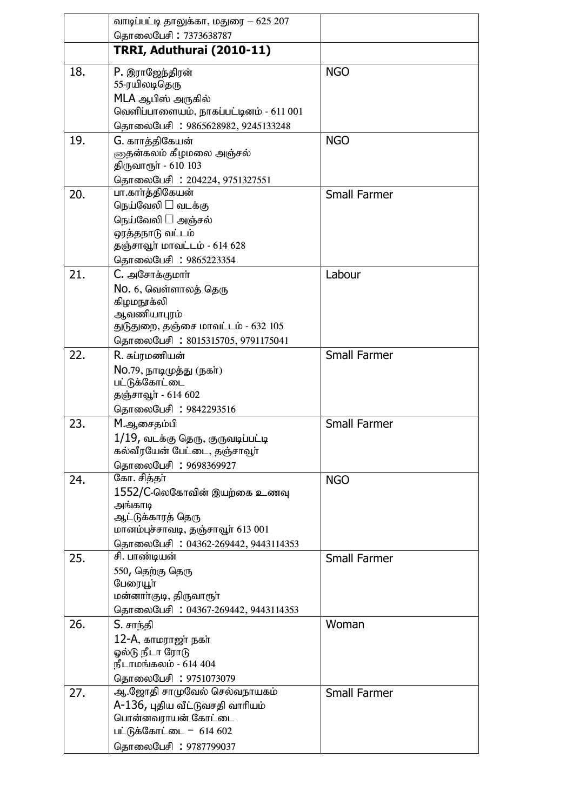|     | வாடிப்பட்டி தாலுக்கா, மதுரை — 625 207                                                                                                                 |                     |
|-----|-------------------------------------------------------------------------------------------------------------------------------------------------------|---------------------|
|     | தொலைபேசி: 7373638787                                                                                                                                  |                     |
|     | TRRI, Aduthurai (2010-11)                                                                                                                             |                     |
| 18. | P. இராஜேந்திரன்<br>55-ரயிலடிதெரு<br>MLA ஆபிஸ் அருகில்<br>வெளிப்பாளையம், நாகப்பட்டினம் - 611 001<br>தொலைபேசி: 9865628982, 9245133248                   | <b>NGO</b>          |
| 19. | G. காாத்திகேயன்<br>குதன்கலம் கீழமலை அஞ்சல்<br>திருவாரூா் - 610 103<br>தொலைபேசி: 204224, 9751327551                                                    | <b>NGO</b>          |
| 20. | பா.காாத்திகேயன்<br>நெய்வேலி<br>வடக்கு<br>நெய்வேலி அஞ்சல்<br>ஒரத்தநாடு வட்டம்<br>தஞ்சாவூர் மாவட்டம் - 614 628<br>தொலைபேசி : 9865223354                 | <b>Small Farmer</b> |
| 21. | C. அசோக்குமார்<br>No. 6, வெள்ளாலத் தெரு<br>கிழமநூக்லி<br>ஆவணியாபுரம்<br>துடுதுறை, தஞ்சை மாவட்டம் - 632 105<br>தொலைபேசி: 8015315705, 9791175041        | Labour              |
| 22. | R. சுப்ரமணியன்<br>No.79, நாடிமுத்து (நகா்)<br>பட்டுக்கோட்டை<br>தஞ்சாவூர் - 614 602<br>தொலைபேசி: 9842293516                                            | <b>Small Farmer</b> |
| 23. | M.ஆசைதம்பி<br>$1/19$ , வடக்கு தெரு, குருவடிப்பட்டி<br>கல்வீரயேன் பேட்டை, தஞ்சாவூா்<br>தொலைபேசி: 9698369927                                            | <b>Small Farmer</b> |
| 24. | கோ. சித்தா்<br>1552/C-லெகோவின் இயற்கை உணவு<br>அங்காடி<br>ஆட்டுக்காரத் தெரு<br>மானம்புச்சாவடி, தஞ்சாவூர் 613 001<br>தொலைபேசி: 04362-269442, 9443114353 | <b>NGO</b>          |
| 25. | சி. பாண்டியன்<br>550, தெற்கு தெரு<br>பேரையூா்<br>மன்னாா்குடி, திருவாரூா்<br>தொலைபேசி: 04367-269442, 9443114353                                        | <b>Small Farmer</b> |
| 26. | S. சாந்தி<br>12-A, காமராஜா் நகா்<br>ஓல்டு நீடா ரோடு<br>நீடாமங்கலம் - 614 404<br>தொலைபேசி: 9751073079                                                  | Woman               |
| 27. | ஆ.ஜோதி சாமுவேல் செல்வநாயகம்<br>A-136, புதிய வீட்டுவசதி வாரியம்<br>பொன்னவராயன் கோட்டை<br>பட்டுக்கோட்டை - 614 602<br>தொலைபேசி: 9787799037               | <b>Small Farmer</b> |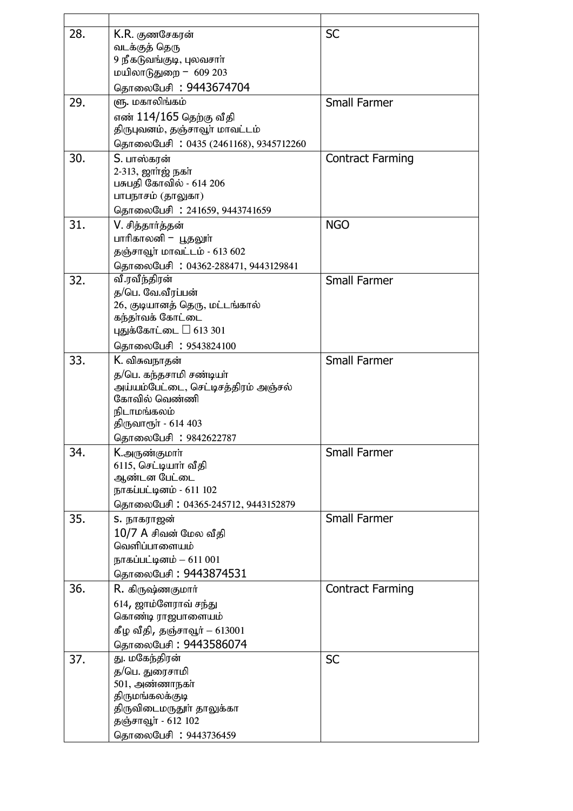| 28. | K.R. குணசேகரன்                       | <b>SC</b>               |
|-----|--------------------------------------|-------------------------|
|     | வடக்குத் தெரு                        |                         |
|     | 9 நீகடுவங்குடி, புலவசாா்             |                         |
|     | மயிலாடுதுறை = 609 203                |                         |
|     | தொலைபேசி: 9443674704                 |                         |
| 29. | ளு. மகாலிங்கம்                       | <b>Small Farmer</b>     |
|     | எண் 114/165 தெற்கு வீதி              |                         |
|     | திருபுவனம், தஞ்சாவூர் மாவட்டம்       |                         |
|     | தொலைபேசி: 0435 (2461168), 9345712260 |                         |
| 30. | S. பாஸ்கரன்                          | <b>Contract Farming</b> |
|     | 2-313, ஜார்ஜ் நகா்                   |                         |
|     | பசுபதி கோவில் - 614 206              |                         |
|     | பாபநாசம் (தாலுகா)                    |                         |
|     | தொலைபேசி: 241659, 9443741659         |                         |
| 31. | V. சித்தார்த்தன்                     | <b>NGO</b>              |
|     | பாரிகாலனி — பூதலூா்                  |                         |
|     | தஞ்சாவூர் மாவட்டம் - 613 602         |                         |
|     | தொலைபேசி: 04362-288471, 9443129841   |                         |
| 32. | வீ.ரவீந்திரன்                        | <b>Small Farmer</b>     |
|     | த/பெ. வே.வீரப்பன்                    |                         |
|     | 26, குடியானத் தெரு, மட்டங்கால்       |                         |
|     | கந்தாவக் கோட்டை                      |                         |
|     | புதுக்கோட்டை 613 301                 |                         |
|     | தொலைபேசி : 9543824100                |                         |
| 33. | K. விசுவநாதன்                        | <b>Small Farmer</b>     |
|     | த/பெ. கந்தசாமி சண்டியா்              |                         |
|     | அய்யம்பேட்டை, செட்டிசத்திரம் அஞ்சல்  |                         |
|     | கோவில் வெண்ணி                        |                         |
|     | நிடாமங்கலம்                          |                         |
|     | திருவாரூா் - 614 403                 |                         |
|     | தொலைபேசி : 9842622787                |                         |
| 34. | K.அருண்குமார்                        | <b>Small Farmer</b>     |
|     | 6115, செட்டியாா் வீதி                |                         |
|     | ஆண்டன பேட்டை                         |                         |
|     | நாகப்பட்டினம் - 611 102              |                         |
|     | தொலைபேசி: 04365-245712, 9443152879   |                         |
| 35. | S. நாகராஜன்                          | <b>Small Farmer</b>     |
|     | 10/7 A சிவன் மேல வீதி                |                         |
|     | வெளிப்பாளையம்                        |                         |
|     | நாகப்பட்டினம் $-611001$              |                         |
|     | தொலைபேசி : 9443874531                |                         |
| 36. | R. கிருஷ்ணகுமார்                     | <b>Contract Farming</b> |
|     | 614, ஜாம்ளேராவ் சந்து                |                         |
|     | கொண்டி ராஜபாளையம்                    |                         |
|     | கீழ வீதி, தஞ்சாவூர் $-613001$        |                         |
|     | தொலைபேசி: 9443586074                 |                         |
| 37. | து. மகேந்திரன்                       | <b>SC</b>               |
|     | த/பெ. துரைசாமி                       |                         |
|     | 501, அண்ணாநகா்                       |                         |
|     | திருமங்கலக்குடி                      |                         |
|     | திருவிடைமருதூா் தாலுக்கா             |                         |
|     | தஞ்சாவூா் - 612 102                  |                         |
|     | தொலைபேசி: 9443736459                 |                         |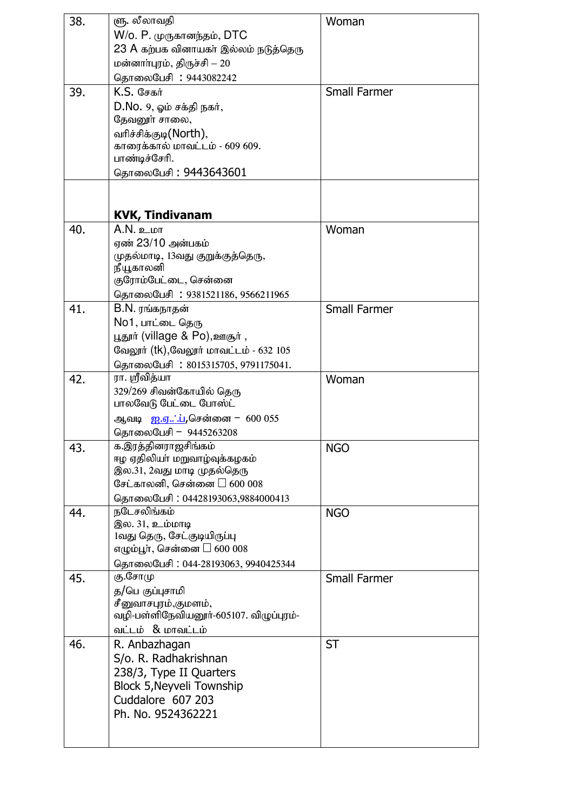| 38. | ளு. லீலாவதி                                     | Woman               |
|-----|-------------------------------------------------|---------------------|
|     | W/o. P. முருகானந்தம், DTC                       |                     |
|     | 23 A கற்பக வினாயகா் இல்லம் நடுத்தெரு            |                     |
|     | மன்னாா்புரம், திருச்சி — 20                     |                     |
|     | தொலைபேசி: 9443082242                            |                     |
| 39. | <b>K.S. G</b> சகர்                              | <b>Small Farmer</b> |
|     |                                                 |                     |
|     | $D.No. 9,$ ஓம் சக்தி நகர்,                      |                     |
|     | தேவனூர் சாலை,                                   |                     |
|     | வரிச்சிக்குடி(North),                           |                     |
|     | காரைக்கால் மாவட்டம் - 609 609.<br>பாண்டிச்சேரி. |                     |
|     |                                                 |                     |
|     | தொலைபேசி : 9443643601                           |                     |
|     |                                                 |                     |
|     |                                                 |                     |
|     | <b>KVK, Tindivanam</b>                          |                     |
| 40. | $A.N.$ உமா                                      | Woman               |
|     | ஏண் 23/10 அன்பகம்                               |                     |
|     | முதல்மாடி, 13வது குறுக்குத்தெரு,                |                     |
|     | நீயூகாலனி                                       |                     |
|     | குரோம்பேட்டை, சென்னை                            |                     |
|     | தொலைபேசி: 9381521186, 9566211965                |                     |
| 41. | B.N. ரங்கநாதன்                                  | <b>Small Farmer</b> |
|     | No1, பாட்டை தெரு                                |                     |
|     | பூதூர் (village & Po),ஊசூர்,                    |                     |
|     | வேலூர் (tk),வேலூர் மாவட்டம் - 632 105           |                     |
|     | தொலைபேசி: 8015315705, 9791175041.               |                     |
| 42. | ரா. ஸ்ரீவித்யா                                  | Woman               |
|     | 329/269 சிவன்கோயில் தெரு                        |                     |
|     | பாலவேடு பேட்டை போஸ்ட்                           |                     |
|     | ஆவடி <u>ஐ.ஏ்.்ப</u> ,சென்னை - 600 055           |                     |
|     | தொலைபேசி - 9445263208                           |                     |
| 43. | க.இரத்தினராஜசிங்கம்                             | <b>NGO</b>          |
|     | ஈழ ஏதிலியா் மறுவாழ்வுக்கழகம்                    |                     |
|     | இல.31, 2வது மாடி முதல்தெரு                      |                     |
|     | சேட்காலனி, சென்னை<br>600 008                    |                     |
|     | தொலைபேசி: 04428193063,9884000413                |                     |
| 44. | நடேசலிங்கம்                                     | <b>NGO</b>          |
|     | இல. 31, உம்மாடி                                 |                     |
|     | 1வது தெரு, சேட்குடியிருப்பு                     |                     |
|     | எழும்பூா், சென்னை<br>600 008                    |                     |
|     | தொலைபேசி: 044-28193063, 9940425344              |                     |
| 45. | கு.சோமு                                         | <b>Small Farmer</b> |
|     | த/பெ குப்புசாமி                                 |                     |
|     | சீனுவாசபுரம்,குமளம்,                            |                     |
|     | வழி-பள்ளிநேவியனூர்-605107. விழுப்புரம்-         |                     |
|     | வட்டம் & மாவட்டம்                               |                     |
| 46. | R. Anbazhagan                                   | <b>ST</b>           |
|     | S/o. R. Radhakrishnan                           |                     |
|     | 238/3, Type II Quarters                         |                     |
|     | <b>Block 5, Neyveli Township</b>                |                     |
|     | Cuddalore 607 203                               |                     |
|     | Ph. No. 9524362221                              |                     |
|     |                                                 |                     |
|     |                                                 |                     |
|     |                                                 |                     |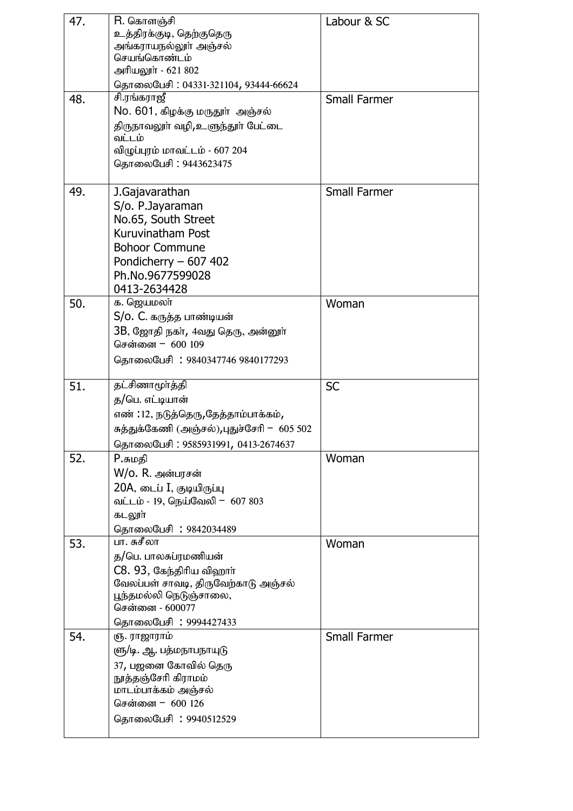| 47. | R. கொளஞ்சி                                 | Labour & SC         |
|-----|--------------------------------------------|---------------------|
|     | உத்திரக்குடி, தெற்குதெரு                   |                     |
|     | அங்கராயநல்லூா் அஞ்சல்                      |                     |
|     | செயங்கொண்டம்                               |                     |
|     | அரியலூா் - 621 802                         |                     |
|     | தொலைபேசி: 04331-321104, 93444-66624        |                     |
| 48. | சி.ரங்கராஜீ                                | <b>Small Farmer</b> |
|     | No. 601, கிழக்கு மருதூா் அஞ்சல்            |                     |
|     | திருநாவலூா் வழி,உளுந்தூா் பேட்டை           |                     |
|     | வட்டம்                                     |                     |
|     | விழுப்புரம் மாவட்டம் - 607 204             |                     |
|     | தொலைபேசி: 9443623475                       |                     |
|     |                                            |                     |
| 49. | J.Gajavarathan                             | <b>Small Farmer</b> |
|     | S/o. P.Jayaraman                           |                     |
|     | No.65, South Street                        |                     |
|     | Kuruvinatham Post                          |                     |
|     | <b>Bohoor Commune</b>                      |                     |
|     | Pondicherry $-607402$                      |                     |
|     | Ph.No.9677599028                           |                     |
|     | 0413-2634428                               |                     |
| 50. | க. ஜெயமலா்                                 | Woman               |
|     | S/o. C. கருத்த பாண்டியன்                   |                     |
|     |                                            |                     |
|     | 3B, ஜோதி நகா், 4வது தெரு, அன்னூா்          |                     |
|     | சென்னை - 600 109                           |                     |
|     | தொலைபேசி: 9840347746 9840177293            |                     |
|     |                                            |                     |
| 51. | தட்சிணாமூா்த்தி                            | <b>SC</b>           |
|     | த/பெ. எட்டியான்                            |                     |
|     |                                            |                     |
|     | எண் : 12, நடுத்தெரு,தேத்தாம்பாக்கம்,       |                     |
|     | சுத்துக்கேணி (அஞ்சல்),புதுச்சேரி - 605 502 |                     |
|     | தொலைபேசி: 9585931991, 0413-2674637         |                     |
| 52. | P.சுமதி                                    | Woman               |
|     | W/o. R. அன்பரசன்                           |                     |
|     | 20A, டைப் I, குடியிருப்பு                  |                     |
|     | வட்டம் - 19, நெய்வேலி - 607 803            |                     |
|     | கடலூா்                                     |                     |
|     | தொலைபேசி: 9842034489                       |                     |
| 53. | பா. சுசீலா                                 | Woman               |
|     | த/பெ. பாலசுப்ரமணியன்                       |                     |
|     | C8. 93, கேந்திரிய விஹார்                   |                     |
|     | வேலப்பள் சாவடி, திருவேற்காடு அஞ்சல்        |                     |
|     | பூந்தமல்லி நெடுஞ்சாலை,                     |                     |
|     | சென்னை - 600077                            |                     |
|     | தொலைபேசி: 9994427433                       |                     |
| 54. | ஞ. ராஜாராம்                                | <b>Small Farmer</b> |
|     | ளு/டி. ஆ. பத்மநாபநாயுடு                    |                     |
|     | 37, பஜனை கோவில் தெரு                       |                     |
|     | நூத்தஞ்சேரி கிராமம்                        |                     |
|     | மாடம்பாக்கம் அஞ்சல்                        |                     |
|     | சென்னை - 600 126                           |                     |
|     | தொலைபேசி : 9940512529                      |                     |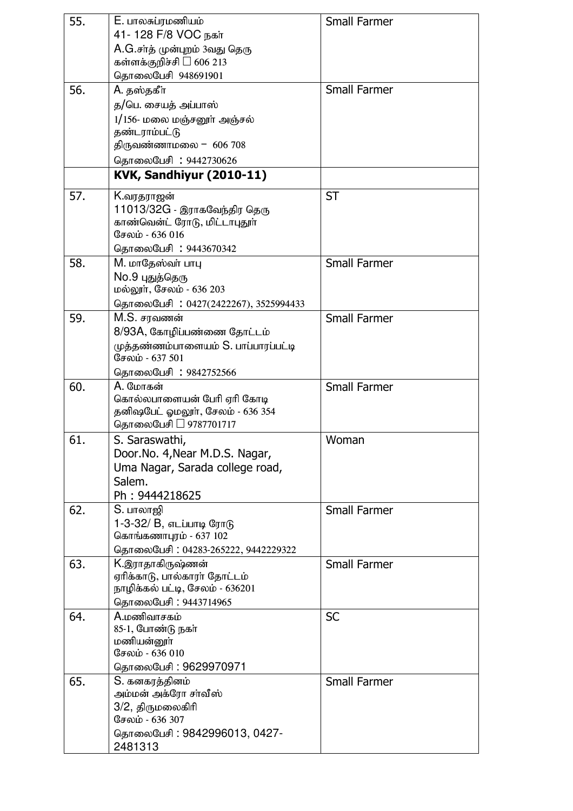| 55. | E. பாலசுப்ரமணியம்<br>41-128 F/8 VOC நகர்<br>A.G.சாத் முன்புறம் 3வது தெரு<br>கள்ளக்குறிச்சி<br>606 213                   | <b>Small Farmer</b> |
|-----|-------------------------------------------------------------------------------------------------------------------------|---------------------|
|     | தொலைபேசி 948691901                                                                                                      |                     |
| 56. | A. தஸ்தகீா                                                                                                              | <b>Small Farmer</b> |
|     | த/பெ. சையத் அப்பாஸ்                                                                                                     |                     |
|     | 1/156- மலை மஞ்சனூர் அஞ்சல்                                                                                              |                     |
|     | தண்டராம்பட்டு                                                                                                           |                     |
|     | திருவண்ணாமலை - 606 708                                                                                                  |                     |
|     | தொலைபேசி: 9442730626                                                                                                    |                     |
|     | KVK, Sandhiyur (2010-11)                                                                                                |                     |
| 57. | K.வரதராஜன்<br>11013/32G - இராகவேந்திர தெரு<br>காண்வென்ட் ரோடு, மிட்டாபுதூா்<br>சேலம் - 636 016                          | <b>ST</b>           |
|     | தொலைபேசி: 9443670342                                                                                                    |                     |
| 58. | M. மாதேஸ்வா் பாபு<br>No.9 புதுத்தெரு<br>மல்லூா், சேலம் - 636 203                                                        | <b>Small Farmer</b> |
|     | தொலைபேசி: 0427(2422267), 3525994433                                                                                     |                     |
| 59. | M.S. சரவணன்<br>8/93A, கோழிப்பண்ணை தோட்டம்<br>முத்தண்ணம்பாளையம் S. பாப்பாரப்பட்டி<br>சேலம் - 637 501                     | <b>Small Farmer</b> |
|     | தொலைபேசி : 9842752566                                                                                                   |                     |
| 60. | <b>A.</b> மோகன்<br>கொல்லபாளையன் பேரி ஏரி கோடி<br>தனிஷபேட் ஓமலூா், சேலம் - 636 354<br>தொலைபேசி<br>9787701717             | <b>Small Farmer</b> |
| 61. | S. Saraswathi,<br>Door.No. 4, Near M.D.S. Nagar,<br>Uma Nagar, Sarada college road,<br>Salem.<br>Ph: 9444218625         | Woman               |
| 62. | S. பாலாஜி<br>1-3-32/ B, எடப்பாடி ரோடு<br>கொங்கணாபுரம் - 637 102<br>தொலைபேசி: 04283-265222, 9442229322                   | <b>Small Farmer</b> |
| 63. | K.இராதாகிருஷ்ணன்<br>ஏரிக்காடு, பால்காரா் தோட்டம்<br>நாழிக்கல் பட்டி, சேலம் - 636201<br>தொலைபேசி: 9443714965             | <b>Small Farmer</b> |
| 64. | <b>A.மணிவாசகம்</b><br>85-1, போண்டு நகா்<br>மணியன்னூா்<br>சேலம் - 636 010<br>தொலைபேசி : 9629970971                       | <b>SC</b>           |
| 65. | S. கனகரத்தினம்<br>அம்மன் அக்ரோ சாவீஸ்<br>3/2, திருமலைகிரி<br>சேலம் - 636 307<br>தொலைபேசி : 9842996013, 0427-<br>2481313 | <b>Small Farmer</b> |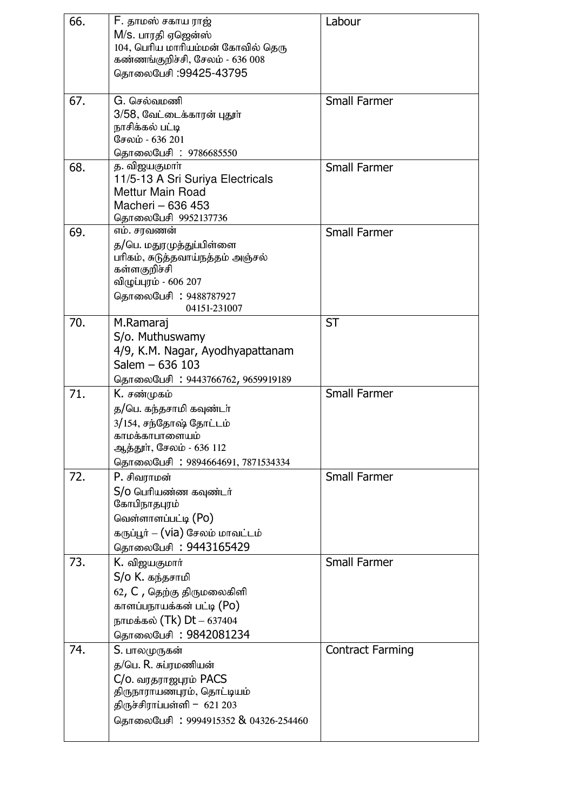| 66. | F. தாமஸ் சகாய ராஜ்<br>M/S. பாரதி ஏஜென்ஸ் | Labour                  |
|-----|------------------------------------------|-------------------------|
|     | 104, பெரிய மாரியம்மன் கோவில் தெரு        |                         |
|     | கண்ணங்குறிச்சி, சேலம் - 636 008          |                         |
|     | தொலைபேசி :99425-43795                    |                         |
| 67. | G. செல்வமணி                              | <b>Small Farmer</b>     |
|     | 3/58, வேட்டைக்காரன் புதூா்               |                         |
|     | நாசிக்கல் பட்டி<br>சேலம் - 636 201       |                         |
|     | தொலைபேசி: 9786685550                     |                         |
| 68. | த. விஜயகுமாா்                            | <b>Small Farmer</b>     |
|     | 11/5-13 A Sri Suriya Electricals         |                         |
|     | Mettur Main Road                         |                         |
|     | Macheri - 636 453                        |                         |
| 69. | தொலைபேசி 9952137736<br>எம். சரவணன்       | <b>Small Farmer</b>     |
|     | த/பெ. மதுரமுத்துப்பிள்ளை                 |                         |
|     | பரிகம், சுடுத்தவாய்நத்தம் அஞ்சல்         |                         |
|     | கள்ளகுறிச்சி                             |                         |
|     | விழுப்புரம் - 606 207                    |                         |
|     | தொலைபேசி : 9488787927<br>04151-231007    |                         |
| 70. | M.Ramaraj                                | <b>ST</b>               |
|     | S/o. Muthuswamy                          |                         |
|     | 4/9, K.M. Nagar, Ayodhyapattanam         |                         |
|     | Salem $-636$ 103                         |                         |
|     | தொலைபேசி: 9443766762, 9659919189         |                         |
| 71. | K. சண்முகம்                              | <b>Small Farmer</b>     |
|     | த/பெ. கந்தசாமி கவுண்டா்                  |                         |
|     | 3/154, சந்தோஷ் தோட்டம்<br>காமக்காபாளையம் |                         |
|     | ஆத்தூா், சேலம் - 636 112                 |                         |
|     | தொலைபேசி: 9894664691, 7871534334         |                         |
| 72. | P. சிவராமன்                              | <b>Small Farmer</b>     |
|     | S/0 பெரியண்ண கவுண்டர்                    |                         |
|     | கோபிநாதபுரம்                             |                         |
|     | வெள்ளாளப்பட்டி (Po)                      |                         |
|     | கருப்பூர் – (via) சேலம் மாவட்டம்         |                         |
|     | தொலைபேசி: 9443165429                     |                         |
| 73. | K. விஜயகுமார்                            | <b>Small Farmer</b>     |
|     | S/o K. கந்தசாமி                          |                         |
|     | 62, C, தெற்கு திருமலைகிளி                |                         |
|     | காளப்பநாயக்கன் பட்டி (Po)                |                         |
|     | நாமக்கல் (Tk) Dt – 637404                |                         |
| 74. | தொலைபேசி: 9842081234                     | <b>Contract Farming</b> |
|     | S. பாலமுருகன்<br>த/பெ. R. சுப்ரமணியன்    |                         |
|     | C/o. வரதராஜபுரம் PACS                    |                         |
|     | திருநாராயணபுரம், தொட்டியம்               |                         |
|     | திருச்சிராப்பள்ளி - $621203$             |                         |
|     | தொலைபேசி: 9994915352 & 04326-254460      |                         |
|     |                                          |                         |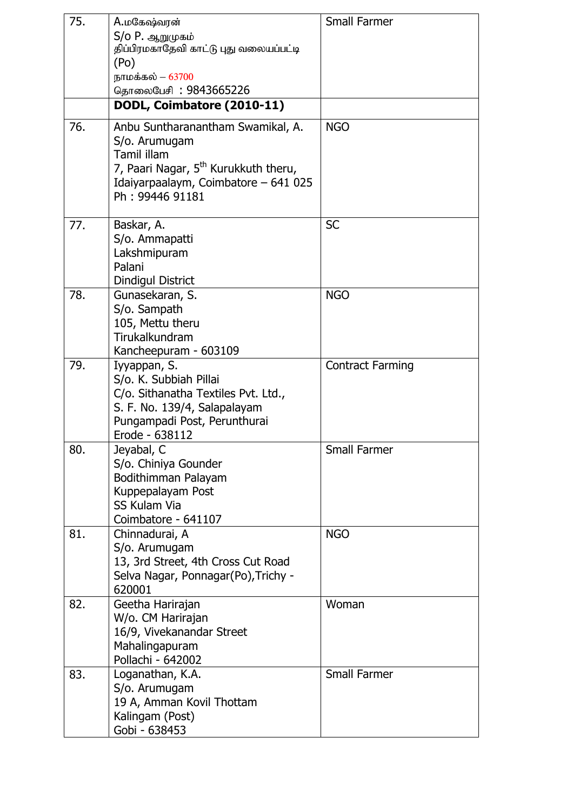| 75. | A.மகேஷ்வரன்<br>S/o P. ஆறுமுகம்<br>திப்பிரமகாதேவி காட்டு புது வலையப்பட்டி<br>(Po)<br>நாமக்கல் – 63700                                                                                    | <b>Small Farmer</b>     |
|-----|-----------------------------------------------------------------------------------------------------------------------------------------------------------------------------------------|-------------------------|
|     | தொலைபேசி : 9843665226<br>DODL, Coimbatore (2010-11)                                                                                                                                     |                         |
|     |                                                                                                                                                                                         |                         |
| 76. | Anbu Suntharanantham Swamikal, A.<br>S/o. Arumugam<br><b>Tamil illam</b><br>7, Paari Nagar, 5 <sup>th</sup> Kurukkuth theru,<br>Idaiyarpaalaym, Coimbatore - 641 025<br>Ph: 99446 91181 | <b>NGO</b>              |
| 77. | Baskar, A.<br>S/o. Ammapatti<br>Lakshmipuram<br>Palani<br>Dindigul District                                                                                                             | <b>SC</b>               |
| 78. | Gunasekaran, S.<br>S/o. Sampath<br>105, Mettu theru<br>Tirukalkundram<br>Kancheepuram - 603109                                                                                          | <b>NGO</b>              |
| 79. | Iyyappan, S.<br>S/o. K. Subbiah Pillai<br>C/o. Sithanatha Textiles Pvt. Ltd.,<br>S. F. No. 139/4, Salapalayam<br>Pungampadi Post, Perunthurai<br>Erode - 638112                         | <b>Contract Farming</b> |
| 80. | Jeyabal, C<br>S/o. Chiniya Gounder<br>Bodithimman Palayam<br>Kuppepalayam Post<br><b>SS Kulam Via</b><br>Coimbatore - 641107                                                            | <b>Small Farmer</b>     |
| 81. | Chinnadurai, A<br>S/o. Arumugam<br>13, 3rd Street, 4th Cross Cut Road<br>Selva Nagar, Ponnagar(Po), Trichy -<br>620001                                                                  | <b>NGO</b>              |
| 82. | Geetha Harirajan<br>W/o. CM Harirajan<br>16/9, Vivekanandar Street<br>Mahalingapuram<br>Pollachi - 642002                                                                               | Woman                   |
| 83. | Loganathan, K.A.<br>S/o. Arumugam<br>19 A, Amman Kovil Thottam<br>Kalingam (Post)<br>Gobi - 638453                                                                                      | <b>Small Farmer</b>     |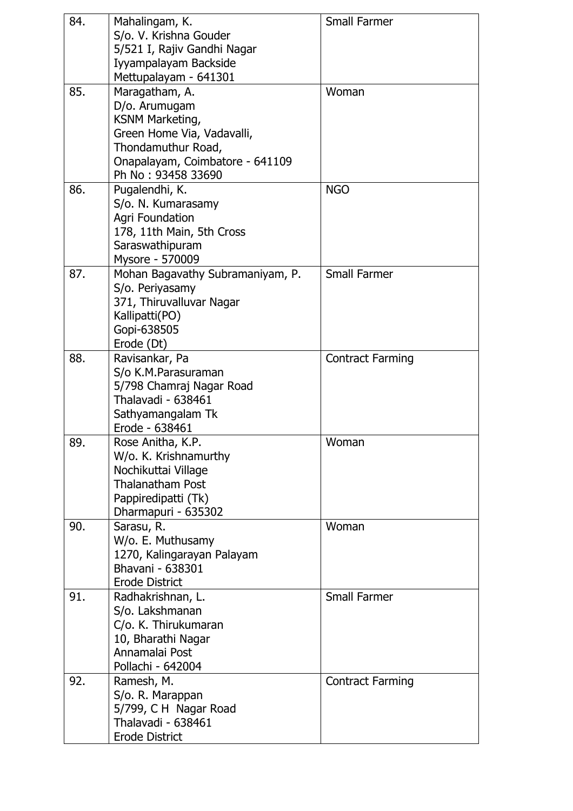| 84. | Mahalingam, K.                   | <b>Small Farmer</b>     |
|-----|----------------------------------|-------------------------|
|     | S/o. V. Krishna Gouder           |                         |
|     | 5/521 I, Rajiv Gandhi Nagar      |                         |
|     | Iyyampalayam Backside            |                         |
|     | Mettupalayam - 641301            |                         |
| 85. | Maragatham, A.                   | Woman                   |
|     | D/o. Arumugam                    |                         |
|     | KSNM Marketing,                  |                         |
|     | Green Home Via, Vadavalli,       |                         |
|     | Thondamuthur Road,               |                         |
|     | Onapalayam, Coimbatore - 641109  |                         |
|     | Ph No: 93458 33690               |                         |
| 86. | Pugalendhi, K.                   | <b>NGO</b>              |
|     | S/o. N. Kumarasamy               |                         |
|     | <b>Agri Foundation</b>           |                         |
|     | 178, 11th Main, 5th Cross        |                         |
|     | Saraswathipuram                  |                         |
|     | Mysore - 570009                  |                         |
| 87. | Mohan Bagavathy Subramaniyam, P. | <b>Small Farmer</b>     |
|     | S/o. Periyasamy                  |                         |
|     | 371, Thiruvalluvar Nagar         |                         |
|     | Kallipatti(PO)                   |                         |
|     | Gopi-638505                      |                         |
|     | Erode (Dt)                       |                         |
| 88. | Ravisankar, Pa                   | <b>Contract Farming</b> |
|     | S/o K.M.Parasuraman              |                         |
|     | 5/798 Chamraj Nagar Road         |                         |
|     | Thalavadi - 638461               |                         |
|     | Sathyamangalam Tk                |                         |
|     | Erode - 638461                   |                         |
| 89. | Rose Anitha, K.P.                | Woman                   |
|     | W/o. K. Krishnamurthy            |                         |
|     | Nochikuttai Village              |                         |
|     | <b>Thalanatham Post</b>          |                         |
|     | Pappiredipatti (Tk)              |                         |
|     | Dharmapuri - 635302              |                         |
| 90. | Sarasu, R.                       | Woman                   |
|     | W/o. E. Muthusamy                |                         |
|     | 1270, Kalingarayan Palayam       |                         |
|     | Bhavani - 638301                 |                         |
|     | <b>Erode District</b>            |                         |
| 91. | Radhakrishnan, L.                | <b>Small Farmer</b>     |
|     | S/o. Lakshmanan                  |                         |
|     | C/o. K. Thirukumaran             |                         |
|     | 10, Bharathi Nagar               |                         |
|     | Annamalai Post                   |                         |
|     | Pollachi - 642004                |                         |
| 92. | Ramesh, M.                       | <b>Contract Farming</b> |
|     | S/o. R. Marappan                 |                         |
|     | 5/799, C H Nagar Road            |                         |
|     | Thalavadi - 638461               |                         |
|     | <b>Erode District</b>            |                         |
|     |                                  |                         |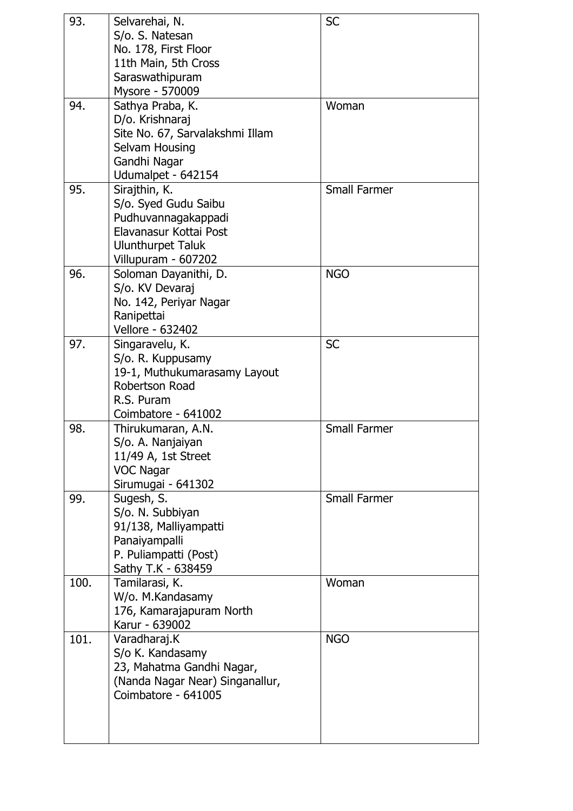| 93.  | Selvarehai, N.                  | <b>SC</b>           |
|------|---------------------------------|---------------------|
|      | S/o. S. Natesan                 |                     |
|      | No. 178, First Floor            |                     |
|      | 11th Main, 5th Cross            |                     |
|      | Saraswathipuram                 |                     |
|      | Mysore - 570009                 |                     |
| 94.  | Sathya Praba, K.                | Woman               |
|      | D/o. Krishnaraj                 |                     |
|      | Site No. 67, Sarvalakshmi Illam |                     |
|      | Selvam Housing                  |                     |
|      | Gandhi Nagar                    |                     |
|      | Udumalpet - 642154              |                     |
| 95.  | Sirajthin, K.                   | <b>Small Farmer</b> |
|      | S/o. Syed Gudu Saibu            |                     |
|      | Pudhuvannagakappadi             |                     |
|      | Elavanasur Kottai Post          |                     |
|      | <b>Ulunthurpet Taluk</b>        |                     |
|      | Villupuram - 607202             |                     |
| 96.  | Soloman Dayanithi, D.           | <b>NGO</b>          |
|      | S/o. KV Devaraj                 |                     |
|      | No. 142, Periyar Nagar          |                     |
|      | Ranipettai                      |                     |
|      | Vellore - 632402                |                     |
| 97.  | Singaravelu, K.                 | <b>SC</b>           |
|      | S/o. R. Kuppusamy               |                     |
|      | 19-1, Muthukumarasamy Layout    |                     |
|      | Robertson Road                  |                     |
|      | R.S. Puram                      |                     |
|      |                                 |                     |
|      | Coimbatore - 641002             | <b>Small Farmer</b> |
| 98.  | Thirukumaran, A.N.              |                     |
|      | S/o. A. Nanjaiyan               |                     |
|      | 11/49 A, 1st Street             |                     |
|      | <b>VOC Nagar</b>                |                     |
|      | Sirumugai - 641302              |                     |
| 99.  | Sugesh, S.                      | <b>Small Farmer</b> |
|      | S/o. N. Subbiyan                |                     |
|      | 91/138, Malliyampatti           |                     |
|      | Panaiyampalli                   |                     |
|      | P. Puliampatti (Post)           |                     |
|      | Sathy T.K - 638459              |                     |
| 100. | Tamilarasi, K.                  | Woman               |
|      | W/o. M.Kandasamy                |                     |
|      | 176, Kamarajapuram North        |                     |
|      | Karur - 639002                  |                     |
| 101. | Varadharaj.K                    | <b>NGO</b>          |
|      | S/o K. Kandasamy                |                     |
|      | 23, Mahatma Gandhi Nagar,       |                     |
|      | (Nanda Nagar Near) Singanallur, |                     |
|      | Coimbatore - 641005             |                     |
|      |                                 |                     |
|      |                                 |                     |
|      |                                 |                     |